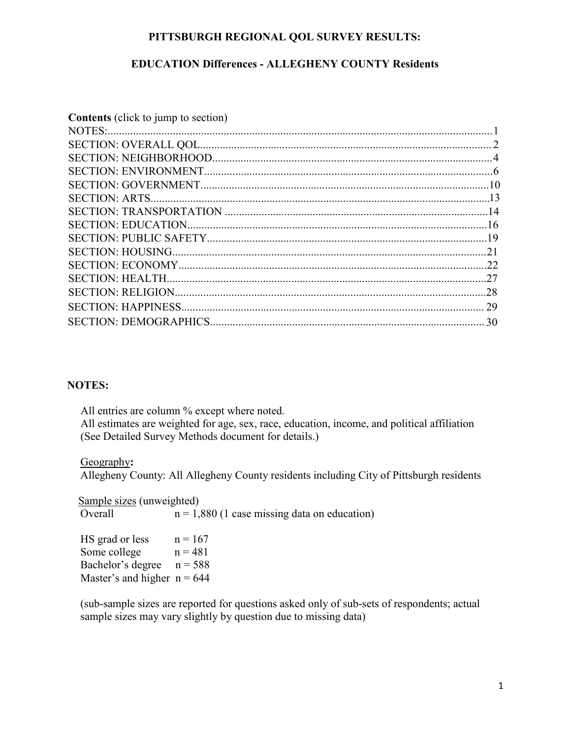#### **PITTSBURGH REGIONAL QOL SURVEY RESULTS:**

### **EDUCATION Differences - ALLEGHENY COUNTY Residents**

| <b>Contents</b> (click to jump to section) |  |
|--------------------------------------------|--|
|                                            |  |
|                                            |  |
|                                            |  |
|                                            |  |
|                                            |  |
|                                            |  |
|                                            |  |
|                                            |  |
|                                            |  |
|                                            |  |
|                                            |  |
|                                            |  |
|                                            |  |
|                                            |  |
|                                            |  |
|                                            |  |

#### **NOTES:**

All entries are column % except where noted. All estimates are weighted for age, sex, race, education, income, and political affiliation (See Detailed Survey Methods document for details.)

#### Geography**:**

Allegheny County: All Allegheny County residents including City of Pittsburgh residents

**Sample sizes (unweighted)** Overall  $n = 1,880$  (1 case missing data on education)

HS grad or less  $n = 167$ Some college  $n = 481$ Bachelor's degree  $n = 588$ Master's and higher  $n = 644$ 

(sub-sample sizes are reported for questions asked only of sub-sets of respondents; actual sample sizes may vary slightly by question due to missing data)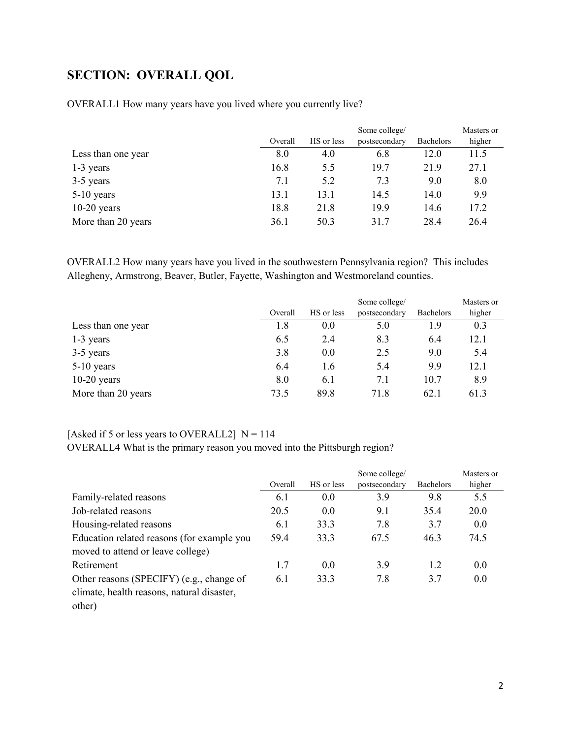## <span id="page-1-0"></span>**SECTION: OVERALL QOL**

|                    |         |            | Some college/ |                  | Masters or |
|--------------------|---------|------------|---------------|------------------|------------|
|                    | Overall | HS or less | postsecondary | <b>Bachelors</b> | higher     |
| Less than one year | 8.0     | 4.0        | 6.8           | 12.0             | 11.5       |
| 1-3 years          | 16.8    | 5.5        | 19.7          | 21.9             | 27.1       |
| 3-5 years          | 7.1     | 5.2        | 7.3           | 9.0              | 8.0        |
| $5-10$ years       | 13.1    | 13.1       | 14.5          | 14.0             | 9.9        |
| $10-20$ years      | 18.8    | 21.8       | 19.9          | 14.6             | 17.2       |
| More than 20 years | 36.1    | 50.3       | 31.7          | 28.4             | 26.4       |

OVERALL1 How many years have you lived where you currently live?

OVERALL2 How many years have you lived in the southwestern Pennsylvania region? This includes Allegheny, Armstrong, Beaver, Butler, Fayette, Washington and Westmoreland counties.

|                    |         |            | Some college/ |                  | Masters or |
|--------------------|---------|------------|---------------|------------------|------------|
|                    | Overall | HS or less | postsecondary | <b>Bachelors</b> | higher     |
| Less than one year | 1.8     | 0.0        | 5.0           | 1.9              | 0.3        |
| 1-3 years          | 6.5     | 2.4        | 8.3           | 6.4              | 12.1       |
| 3-5 years          | 3.8     | 0.0        | 2.5           | 9.0              | 5.4        |
| $5-10$ years       | 6.4     | 1.6        | 5.4           | 9.9              | 12.1       |
| $10-20$ years      | 8.0     | 6.1        | 7.1           | 10.7             | 8.9        |
| More than 20 years | 73.5    | 89.8       | 71.8          | 62.1             | 61.3       |

#### [Asked if 5 or less years to OVERALL2]  $N = 114$

OVERALL4 What is the primary reason you moved into the Pittsburgh region?

|                                            |         |            | Some college/ |                  | Masters or |
|--------------------------------------------|---------|------------|---------------|------------------|------------|
|                                            | Overall | HS or less | postsecondary | <b>Bachelors</b> | higher     |
| Family-related reasons                     | 6.1     | 0.0        | 3.9           | 9.8              | 5.5        |
| Job-related reasons                        | 20.5    | 0.0        | 9.1           | 35.4             | 20.0       |
| Housing-related reasons                    | 6.1     | 33.3       | 7.8           | 3.7              | 0.0        |
| Education related reasons (for example you | 59.4    | 33.3       | 67.5          | 46.3             | 74.5       |
| moved to attend or leave college)          |         |            |               |                  |            |
| Retirement                                 | 1.7     | 0.0        | 3.9           | 1.2              | 0.0        |
| Other reasons (SPECIFY) (e.g., change of   | 6.1     | 33.3       | 7.8           | 3.7              | 0.0        |
| climate, health reasons, natural disaster, |         |            |               |                  |            |
| other)                                     |         |            |               |                  |            |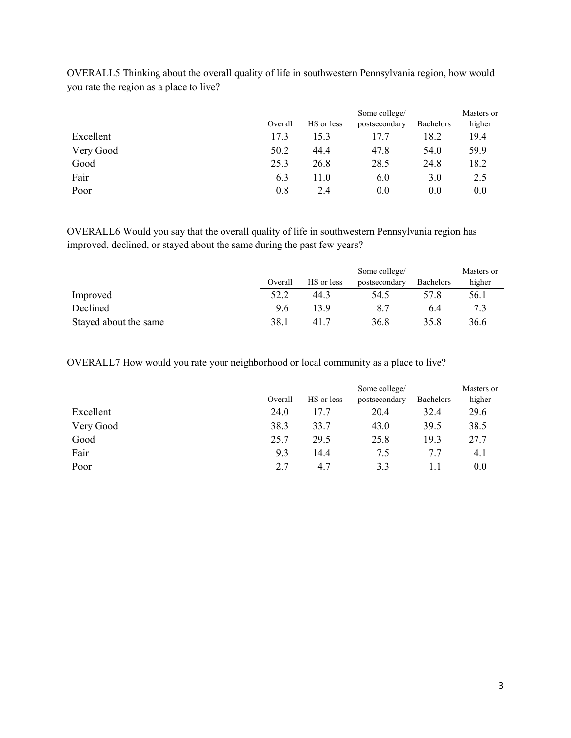|           |         | Some college/ |               |                  | Masters or |
|-----------|---------|---------------|---------------|------------------|------------|
|           | Overall | HS or less    | postsecondary | <b>Bachelors</b> | higher     |
| Excellent | 17.3    | 15.3          | 17.7          | 18.2             | 19.4       |
| Very Good | 50.2    | 44.4          | 47.8          | 54.0             | 59.9       |
| Good      | 25.3    | 26.8          | 28.5          | 24.8             | 18.2       |
| Fair      | 6.3     | 11.0          | 6.0           | 3.0              | 2.5        |
| Poor      | 0.8     | 2.4           | $0.0\,$       | 0.0              | 0.0        |

OVERALL5 Thinking about the overall quality of life in southwestern Pennsylvania region, how would you rate the region as a place to live?

OVERALL6 Would you say that the overall quality of life in southwestern Pennsylvania region has improved, declined, or stayed about the same during the past few years?

|                       |         |            | Some college/ |                  | Masters or |
|-----------------------|---------|------------|---------------|------------------|------------|
|                       | Overall | HS or less | postsecondary | <b>Bachelors</b> | higher     |
| Improved              | 52.2    | 44.3       | 54.5          | 57.8             | 56.1       |
| Declined              | 9.6     | 13.9       | 8.7           | 6.4              | 7.3        |
| Stayed about the same | 38.1    | 41.7       | 36.8          | 35.8             | 36.6       |

OVERALL7 How would you rate your neighborhood or local community as a place to live?

|           |         | Some college/ |               |                  | Masters or |
|-----------|---------|---------------|---------------|------------------|------------|
|           | Overall | HS or less    | postsecondary | <b>Bachelors</b> | higher     |
| Excellent | 24.0    | 17.7          | 20.4          | 32.4             | 29.6       |
| Very Good | 38.3    | 33.7          | 43.0          | 39.5             | 38.5       |
| Good      | 25.7    | 29.5          | 25.8          | 19.3             | 27.7       |
| Fair      | 9.3     | 14.4          | 7.5           | 7.7              | 4.1        |
| Poor      | 2.7     | 4.7           | 3.3           |                  | 0.0        |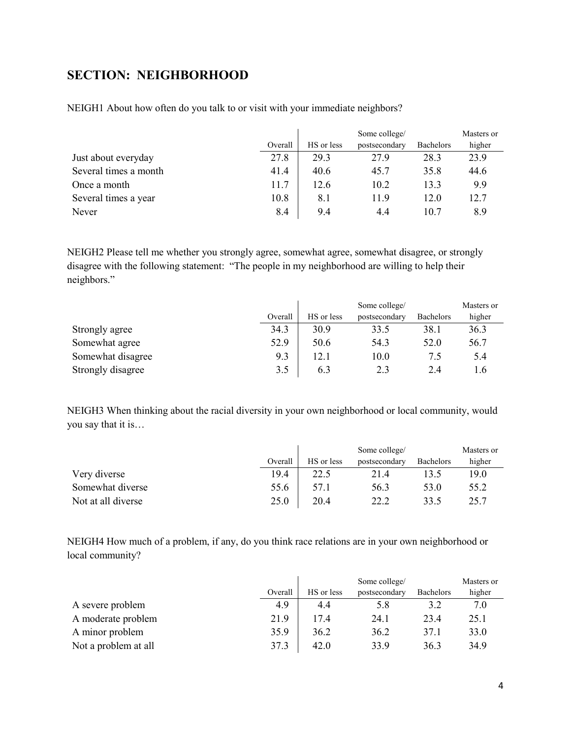## <span id="page-3-0"></span>**SECTION: NEIGHBORHOOD**

|                       |         | Some college/ |               |                  | Masters or |
|-----------------------|---------|---------------|---------------|------------------|------------|
|                       | Overall | HS or less    | postsecondary | <b>Bachelors</b> | higher     |
| Just about everyday   | 27.8    | 29.3          | 27.9          | 28.3             | 23.9       |
| Several times a month | 41.4    | 40.6          | 45.7          | 35.8             | 44.6       |
| Once a month          | 11.7    | 12.6          | 10.2          | 13.3             | 9.9        |
| Several times a year  | 10.8    | 8.1           | 11.9          | 12.0             | 12.7       |
| Never                 | 8.4     | 9.4           | 4.4           | 10.7             | 8.9        |

NEIGH1 About how often do you talk to or visit with your immediate neighbors?

NEIGH2 Please tell me whether you strongly agree, somewhat agree, somewhat disagree, or strongly disagree with the following statement: "The people in my neighborhood are willing to help their neighbors."

|                   |         | Some college/ |               |                  | Masters or |
|-------------------|---------|---------------|---------------|------------------|------------|
|                   | Overall | HS or less    | postsecondary | <b>Bachelors</b> | higher     |
| Strongly agree    | 34.3    | 30.9          | 33.5          | 38.1             | 36.3       |
| Somewhat agree    | 52.9    | 50.6          | 54.3          | 52.0             | 56.7       |
| Somewhat disagree | 9.3     | 12.1          | 10.0          | 7.5              | 5.4        |
| Strongly disagree | 3.5     | 6.3           | 2.3           | 2.4              | .6         |

NEIGH3 When thinking about the racial diversity in your own neighborhood or local community, would you say that it is…

|                    |         | Some college/ |               |                  | Masters or |
|--------------------|---------|---------------|---------------|------------------|------------|
|                    | Overall | HS or less    | postsecondary | <b>Bachelors</b> | higher     |
| Very diverse       | 19.4    | 22.5          | 21.4          | 13.5             | 19.0       |
| Somewhat diverse   | 55.6    | 57.1          | 56.3          | 53.0             | 55.2       |
| Not at all diverse | 25.0    | 20.4          | າາ າ          | 33.5             | 25.7       |

NEIGH4 How much of a problem, if any, do you think race relations are in your own neighborhood or local community?

|                      |         | Some college/ |               |           | Masters or |
|----------------------|---------|---------------|---------------|-----------|------------|
|                      | Overall | HS or less    | postsecondary | Bachelors | higher     |
| A severe problem     | 4.9     | 4.4           | 5.8           | 3.2       | 7.0        |
| A moderate problem   | 21.9    | 17.4          | 24.1          | 23.4      | 25.1       |
| A minor problem      | 35.9    | 36.2          | 36.2          | 37.1      | 33.0       |
| Not a problem at all | 37.3    | 42.0          | 33.9          | 36.3      | 34.9       |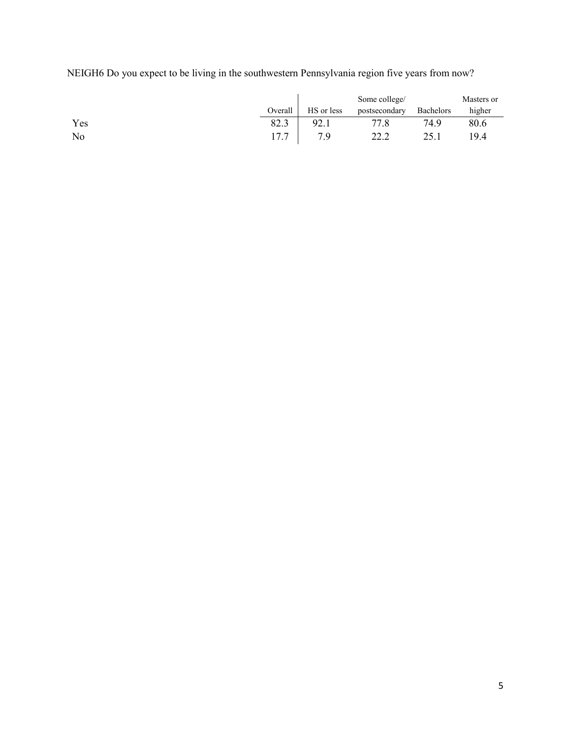NEIGH6 Do you expect to be living in the southwestern Pennsylvania region five years from now?

|     |         |            | Some college/ |           | Masters or |
|-----|---------|------------|---------------|-----------|------------|
|     | Overall | HS or less | postsecondary | Bachelors | higher     |
| Yes | 82.3    | 92.1       | 77.8          | 74.9      | 80.6       |
| No  | 17.7    | 7.9        | 22.2          | 25.1      | 19.4       |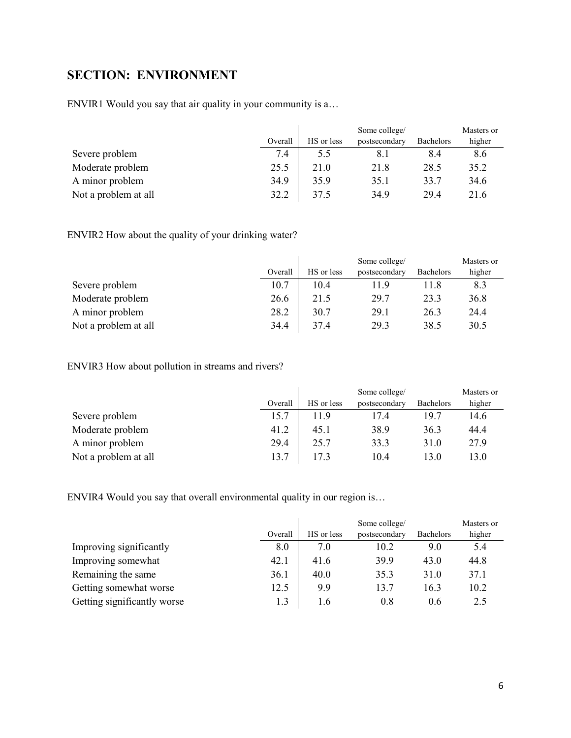## <span id="page-5-0"></span>**SECTION: ENVIRONMENT**

ENVIR1 Would you say that air quality in your community is a…

|                      |         | Some college/ |               |           | Masters or |
|----------------------|---------|---------------|---------------|-----------|------------|
|                      | Overall | HS or less    | postsecondary | Bachelors | higher     |
| Severe problem       | 7.4     | 5.5           |               | 8.4       | 8.6        |
| Moderate problem     | 25.5    | 21.0          | 21.8          | 28.5      | 35.2       |
| A minor problem      | 34.9    | 35.9          | 35.1          | 33.7      | 34.6       |
| Not a problem at all | 32.2    | 37.5          | 34.9          | 29.4      | 21.6       |

ENVIR2 How about the quality of your drinking water?

|                      |         |            | Some college/ |           | Masters or |
|----------------------|---------|------------|---------------|-----------|------------|
|                      | Overall | HS or less | postsecondary | Bachelors | higher     |
| Severe problem       | 10.7    | 10.4       | 11.9          | 11.8      | 8.3        |
| Moderate problem     | 26.6    | 21.5       | 29.7          | 23.3      | 36.8       |
| A minor problem      | 28.2    | 30.7       | 29.1          | 26.3      | 24.4       |
| Not a problem at all | 34.4    | 37.4       | 29.3          | 38.5      | 30.5       |

ENVIR3 How about pollution in streams and rivers?

|                      |         | Some college/ |               |                  | Masters or |
|----------------------|---------|---------------|---------------|------------------|------------|
|                      | Overall | HS or less    | postsecondary | <b>Bachelors</b> | higher     |
| Severe problem       | 15.7    | 11.9          | 17.4          | 19.7             | 14.6       |
| Moderate problem     | 41.2    | 45.1          | 38.9          | 36.3             | 44.4       |
| A minor problem      | 29.4    | 25.7          | 33.3          | 31.0             | 27.9       |
| Not a problem at all | 13.7    | 17.3          | 10.4          | 13.0             | 13.0       |

ENVIR4 Would you say that overall environmental quality in our region is…

|                             |         |            | Some college/ |                  | Masters or |
|-----------------------------|---------|------------|---------------|------------------|------------|
|                             | Overall | HS or less | postsecondary | <b>Bachelors</b> | higher     |
| Improving significantly     | 8.0     | 7.0        | 10.2          | 9.0              | 5.4        |
| Improving somewhat          | 42.1    | 41.6       | 39.9          | 43.0             | 44.8       |
| Remaining the same          | 36.1    | 40.0       | 35.3          | 31.0             | 37.1       |
| Getting somewhat worse      | 12.5    | 9.9        | 13.7          | 16.3             | 10.2       |
| Getting significantly worse | 1.3     | 1.6        | 0.8           | 0.6              | 2.5        |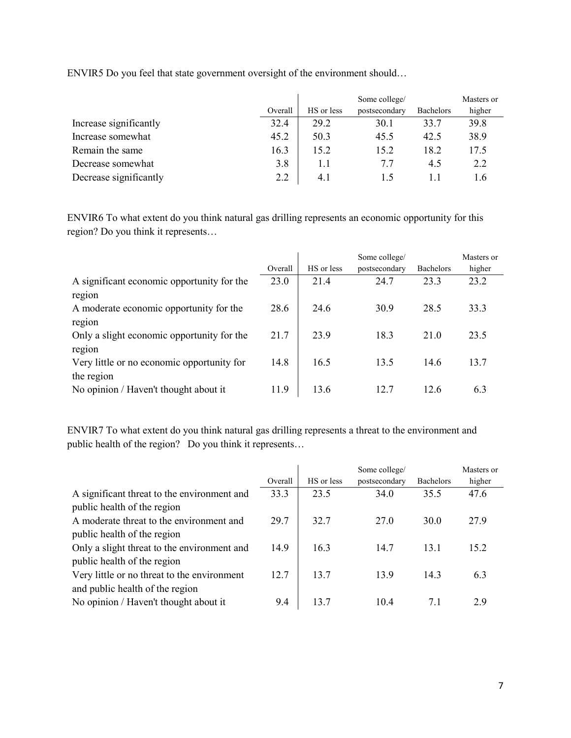|                        |         | Some college/ |               |                  | Masters or |
|------------------------|---------|---------------|---------------|------------------|------------|
|                        | Overall | HS or less    | postsecondary | <b>Bachelors</b> | higher     |
| Increase significantly | 32.4    | 29.2          | 30.1          | 33.7             | 39.8       |
| Increase somewhat      | 45.2    | 50.3          | 45.5          | 42.5             | 38.9       |
| Remain the same        | 16.3    | 15.2          | 15.2          | 18.2             | 17.5       |
| Decrease somewhat      | 3.8     |               | 7.7           | 4.5              | 2.2        |
| Decrease significantly | 2.2     | 4.1           | L.S           |                  | l.6        |

ENVIR5 Do you feel that state government oversight of the environment should…

ENVIR6 To what extent do you think natural gas drilling represents an economic opportunity for this region? Do you think it represents…

|                                            |         |            | Some college/ |                  | Masters or |
|--------------------------------------------|---------|------------|---------------|------------------|------------|
|                                            | Overall | HS or less | postsecondary | <b>Bachelors</b> | higher     |
| A significant economic opportunity for the | 23.0    | 21.4       | 24.7          | 23.3             | 23.2       |
| region                                     |         |            |               |                  |            |
| A moderate economic opportunity for the    | 28.6    | 24.6       | 30.9          | 28.5             | 33.3       |
| region                                     |         |            |               |                  |            |
| Only a slight economic opportunity for the | 21.7    | 23.9       | 18.3          | 21.0             | 23.5       |
| region                                     |         |            |               |                  |            |
| Very little or no economic opportunity for | 14.8    | 16.5       | 13.5          | 14.6             | 13.7       |
| the region                                 |         |            |               |                  |            |
| No opinion / Haven't thought about it      | 11.9    | 13.6       | 12.7          | 12.6             | 6.3        |

ENVIR7 To what extent do you think natural gas drilling represents a threat to the environment and public health of the region? Do you think it represents…

|                                             | Overall | HS or less | Some college/<br>postsecondary | <b>Bachelors</b> | Masters or<br>higher |
|---------------------------------------------|---------|------------|--------------------------------|------------------|----------------------|
| A significant threat to the environment and | 33.3    | 23.5       | 34.0                           | 35.5             | 47.6                 |
| public health of the region                 |         |            |                                |                  |                      |
| A moderate threat to the environment and    | 29.7    | 32.7       | 27.0                           | 30.0             | 27.9                 |
| public health of the region                 |         |            |                                |                  |                      |
| Only a slight threat to the environment and | 14.9    | 16.3       | 14.7                           | 13.1             | 15.2                 |
| public health of the region                 |         |            |                                |                  |                      |
| Very little or no threat to the environment | 12.7    | 13.7       | 13.9                           | 14.3             | 6.3                  |
| and public health of the region             |         |            |                                |                  |                      |
| No opinion / Haven't thought about it       | 9.4     | 13.7       | 10.4                           | 7.1              | 2.9                  |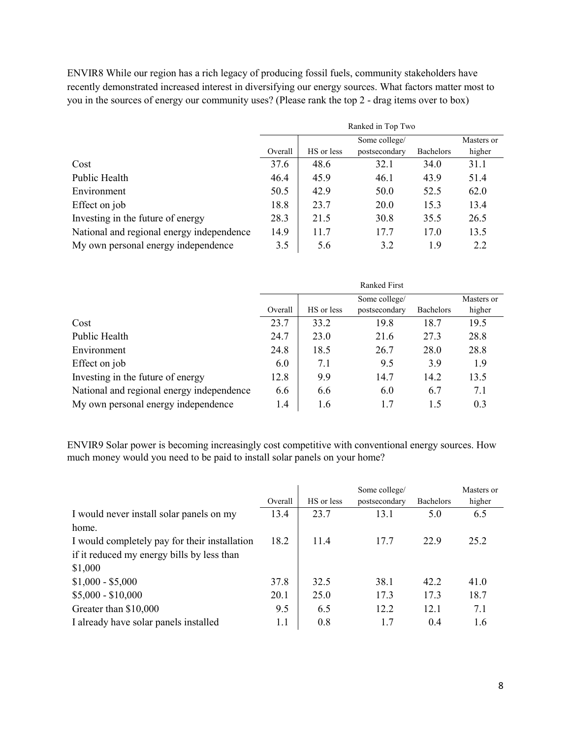ENVIR8 While our region has a rich legacy of producing fossil fuels, community stakeholders have recently demonstrated increased interest in diversifying our energy sources. What factors matter most to you in the sources of energy our community uses? (Please rank the top 2 - drag items over to box)

|                                           |         | Ranked in Top Two |               |                  |            |  |
|-------------------------------------------|---------|-------------------|---------------|------------------|------------|--|
|                                           |         |                   | Some college/ |                  | Masters or |  |
|                                           | Overall | HS or less        | postsecondary | <b>Bachelors</b> | higher     |  |
| Cost                                      | 37.6    | 48.6              | 32.1          | 34.0             | 31.1       |  |
| Public Health                             | 46.4    | 45.9              | 46.1          | 43.9             | 51.4       |  |
| Environment                               | 50.5    | 42.9              | 50.0          | 52.5             | 62.0       |  |
| Effect on job                             | 18.8    | 23.7              | 20.0          | 15.3             | 13.4       |  |
| Investing in the future of energy         | 28.3    | 21.5              | 30.8          | 35.5             | 26.5       |  |
| National and regional energy independence | 14.9    | 11.7              | 17.7          | 17.0             | 13.5       |  |
| My own personal energy independence       | 3.5     | 5.6               | 3.2           | 1.9              | 2.2        |  |

|                                           |         | <b>Ranked First</b> |               |                  |            |  |
|-------------------------------------------|---------|---------------------|---------------|------------------|------------|--|
|                                           |         |                     | Some college/ |                  | Masters or |  |
|                                           | Overall | HS or less          | postsecondary | <b>Bachelors</b> | higher     |  |
| Cost                                      | 23.7    | 33.2                | 19.8          | 18.7             | 19.5       |  |
| Public Health                             | 24.7    | 23.0                | 21.6          | 27.3             | 28.8       |  |
| Environment                               | 24.8    | 18.5                | 26.7          | 28.0             | 28.8       |  |
| Effect on job                             | 6.0     | 7.1                 | 9.5           | 3.9              | 1.9        |  |
| Investing in the future of energy         | 12.8    | 9.9                 | 14.7          | 14.2             | 13.5       |  |
| National and regional energy independence | 6.6     | 6.6                 | 6.0           | 6.7              | 7.1        |  |
| My own personal energy independence       | 1.4     | 1.6                 | 1.7           | 1.5              | 0.3        |  |

ENVIR9 Solar power is becoming increasingly cost competitive with conventional energy sources. How much money would you need to be paid to install solar panels on your home?

|                                               |         | Some college/ |               |                  | Masters or |
|-----------------------------------------------|---------|---------------|---------------|------------------|------------|
|                                               | Overall | HS or less    | postsecondary | <b>Bachelors</b> | higher     |
| I would never install solar panels on my      | 13.4    | 23.7          | 13.1          | 5.0              | 6.5        |
| home.                                         |         |               |               |                  |            |
| I would completely pay for their installation | 18.2    | 11.4          | 17.7          | 22.9             | 25.2       |
| if it reduced my energy bills by less than    |         |               |               |                  |            |
| \$1,000                                       |         |               |               |                  |            |
| $$1,000 - $5,000$                             | 37.8    | 32.5          | 38.1          | 42.2             | 41.0       |
| $$5,000 - $10,000$                            | 20.1    | 25.0          | 17.3          | 17.3             | 18.7       |
| Greater than \$10,000                         | 9.5     | 6.5           | 12.2          | 12.1             | 7.1        |
| I already have solar panels installed         | 1.1     | 0.8           | 1.7           | 0.4              | 1.6        |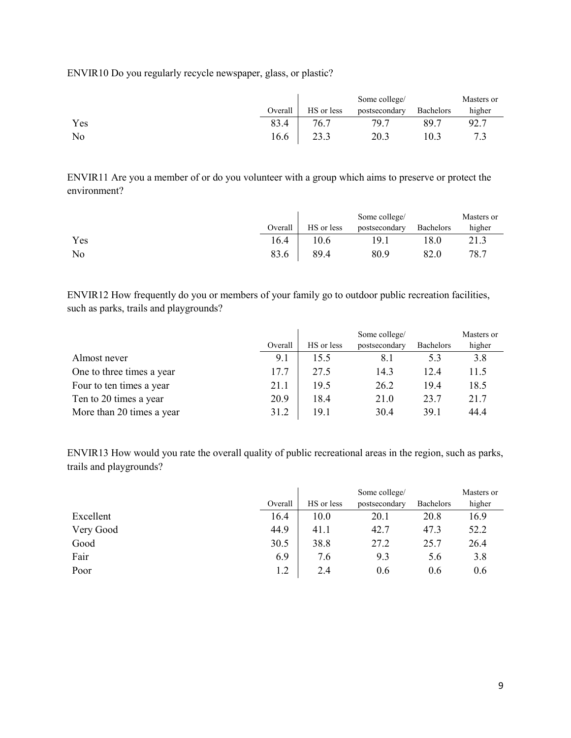ENVIR10 Do you regularly recycle newspaper, glass, or plastic?

|     |         |            | Some college/ |           | Masters or |
|-----|---------|------------|---------------|-----------|------------|
|     | Overall | HS or less | postsecondary | Bachelors | higher     |
| Yes | 83.4    | 76.7       | 79.7          | 89.7      | 92.7       |
| No  | 16.6    |            | 20.3          | 10.3      |            |

ENVIR11 Are you a member of or do you volunteer with a group which aims to preserve or protect the environment?

|     |         |            | Some college/ |           | Masters or |
|-----|---------|------------|---------------|-----------|------------|
|     | Overall | HS or less | postsecondary | Bachelors | higher     |
| Yes | 16.4    | 10.6       | 19.1          | 8.0       | 21.3       |
| No  | 83.6    | 89.4       | 80.9          | 82.0      | 78.7       |

ENVIR12 How frequently do you or members of your family go to outdoor public recreation facilities, such as parks, trails and playgrounds?

|                           |         |            | Some college/ |                  | Masters or |
|---------------------------|---------|------------|---------------|------------------|------------|
|                           | Overall | HS or less | postsecondary | <b>Bachelors</b> | higher     |
| Almost never              | 9.1     | 15.5       | 8.1           | 5.3              | 3.8        |
| One to three times a year | 17.7    | 27.5       | 14.3          | 12.4             | 11.5       |
| Four to ten times a year  | 21.1    | 19.5       | 26.2          | 19.4             | 18.5       |
| Ten to 20 times a year    | 20.9    | 18.4       | 21.0          | 23.7             | 21.7       |
| More than 20 times a year | 31.2    | 19.1       | 30.4          | 39.1             | 44.4       |

ENVIR13 How would you rate the overall quality of public recreational areas in the region, such as parks, trails and playgrounds?

|           |         | Some college/ |               |           | Masters or |
|-----------|---------|---------------|---------------|-----------|------------|
|           | Overall | HS or less    | postsecondary | Bachelors | higher     |
| Excellent | 16.4    | 10.0          | 20.1          | 20.8      | 16.9       |
| Very Good | 44.9    | 41.1          | 42.7          | 47.3      | 52.2       |
| Good      | 30.5    | 38.8          | 27.2          | 25.7      | 26.4       |
| Fair      | 6.9     | 7.6           | 9.3           | 5.6       | 3.8        |
| Poor      | 1.2     | 2.4           | 0.6           | 0.6       | 0.6        |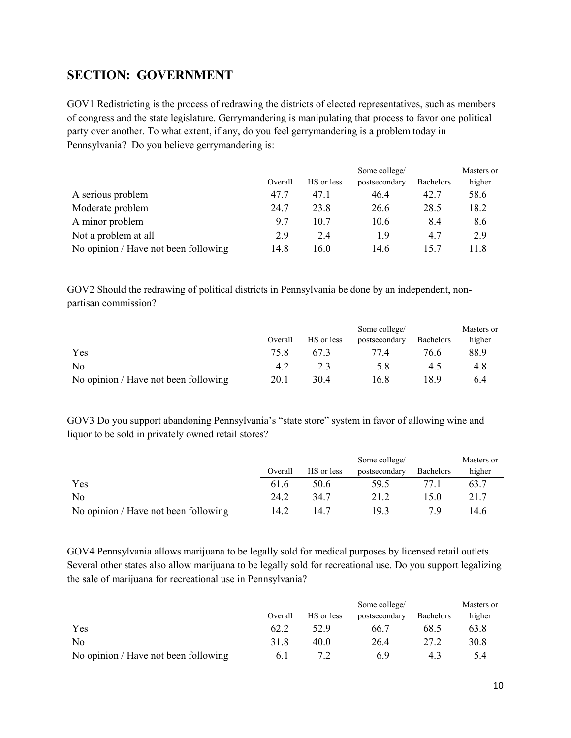## <span id="page-9-0"></span>**SECTION: GOVERNMENT**

GOV1 Redistricting is the process of redrawing the districts of elected representatives, such as members of congress and the state legislature. Gerrymandering is manipulating that process to favor one political party over another. To what extent, if any, do you feel gerrymandering is a problem today in Pennsylvania? Do you believe gerrymandering is:

|                                      |         |            | Some college/ |                  | Masters or |
|--------------------------------------|---------|------------|---------------|------------------|------------|
|                                      | Overall | HS or less | postsecondary | <b>Bachelors</b> | higher     |
| A serious problem                    | 47.7    | 47.1       | 46.4          | 42.7             | 58.6       |
| Moderate problem                     | 24.7    | 23.8       | 26.6          | 28.5             | 18.2       |
| A minor problem                      | 9.7     | 10.7       | 10.6          | 8.4              | 8.6        |
| Not a problem at all                 | 2.9     | 2.4        | 1.9           | 4.7              | 2.9        |
| No opinion / Have not been following | 14.8    | 16.0       | 14.6          | 15.7             | 11.8       |

GOV2 Should the redrawing of political districts in Pennsylvania be done by an independent, nonpartisan commission?

|                                      |         |            | Some college/ |                  | Masters or |
|--------------------------------------|---------|------------|---------------|------------------|------------|
|                                      | Overall | HS or less | postsecondary | <b>Bachelors</b> | higher     |
| Yes                                  | 75.8    |            | 77.4          | 76.6             | 88.9       |
| No                                   | 4.2     |            | 5.8           | 4.5              | 4.8        |
| No opinion / Have not been following | 20.1    | 30.4       | 16.8          | 18.9             | 6.4        |

GOV3 Do you support abandoning Pennsylvania's "state store" system in favor of allowing wine and liquor to be sold in privately owned retail stores?

|                                      |         |            | Some college/ |                  | Masters or |
|--------------------------------------|---------|------------|---------------|------------------|------------|
|                                      | Overall | HS or less | postsecondary | <b>Bachelors</b> | higher     |
| Yes                                  | 61.6    | 50.6       | 59.5          |                  | 63.7       |
| No                                   | 24.2    | 34.7       | 21.2          | 15.0             | 21.7       |
| No opinion / Have not been following | 14.2    | 14.7       | 19.3          | 7 Q              | 14.6       |

GOV4 Pennsylvania allows marijuana to be legally sold for medical purposes by licensed retail outlets. Several other states also allow marijuana to be legally sold for recreational use. Do you support legalizing the sale of marijuana for recreational use in Pennsylvania?

|                                      |         |            | Some college/ |                  | Masters or |
|--------------------------------------|---------|------------|---------------|------------------|------------|
|                                      | Overall | HS or less | postsecondary | <b>Bachelors</b> | higher     |
| Yes                                  | 62.2    | 52.9       | -66.7         | 68.5             | 63.8       |
| No                                   | 31.8    | 40.0       | 26.4          | 27.2             | 30.8       |
| No opinion / Have not been following | 6.1     |            | 6.9           |                  | 5.4        |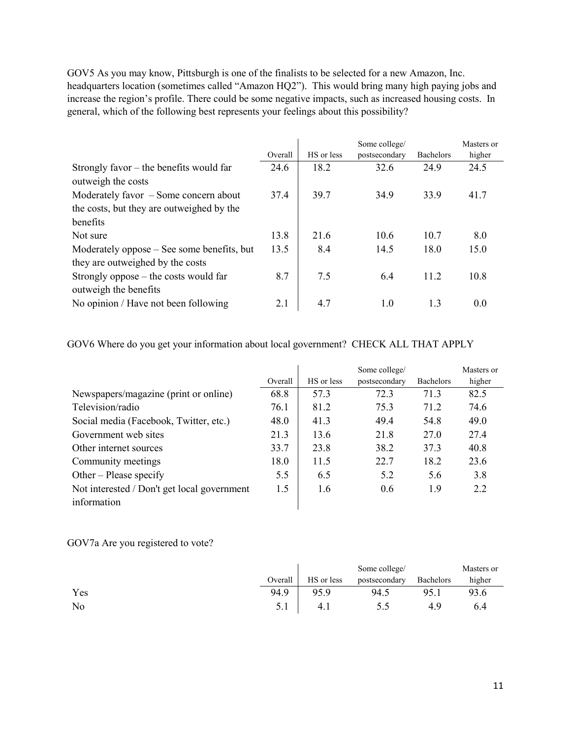GOV5 As you may know, Pittsburgh is one of the finalists to be selected for a new Amazon, Inc. headquarters location (sometimes called "Amazon HQ2"). This would bring many high paying jobs and increase the region's profile. There could be some negative impacts, such as increased housing costs. In general, which of the following best represents your feelings about this possibility?

|                                            | Overall | HS or less | Some college/<br>postsecondary | <b>Bachelors</b> | Masters or<br>higher |
|--------------------------------------------|---------|------------|--------------------------------|------------------|----------------------|
| Strongly favor $-$ the benefits would far  | 24.6    | 18.2       | 32.6                           | 24.9             | 24.5                 |
| outweigh the costs                         |         |            |                                |                  |                      |
| Moderately favor $-$ Some concern about    | 37.4    | 39.7       | 34.9                           | 33.9             | 41.7                 |
| the costs, but they are outweighed by the  |         |            |                                |                  |                      |
| henefits                                   |         |            |                                |                  |                      |
| Not sure                                   | 13.8    | 21.6       | 10.6                           | 10.7             | 8.0                  |
| Moderately oppose – See some benefits, but | 13.5    | 8.4        | 14.5                           | 18.0             | 15.0                 |
| they are outweighed by the costs           |         |            |                                |                  |                      |
| Strongly oppose – the costs would far      | 8.7     | 7.5        | 6.4                            | 11.2             | 10.8                 |
| outweigh the benefits                      |         |            |                                |                  |                      |
| No opinion / Have not been following       | 2.1     | 4.7        | 1.0                            | 1.3              | 0.0                  |

GOV6 Where do you get your information about local government? CHECK ALL THAT APPLY

|                                             |         |            | Some college/ |                  | Masters or |
|---------------------------------------------|---------|------------|---------------|------------------|------------|
|                                             | Overall | HS or less | postsecondary | <b>Bachelors</b> | higher     |
| Newspapers/magazine (print or online)       | 68.8    | 57.3       | 72.3          | 71.3             | 82.5       |
| Television/radio                            | 76.1    | 81.2       | 75.3          | 71.2             | 74.6       |
| Social media (Facebook, Twitter, etc.)      | 48.0    | 41.3       | 49.4          | 54.8             | 49.0       |
| Government web sites                        | 21.3    | 13.6       | 21.8          | 27.0             | 27.4       |
| Other internet sources                      | 33.7    | 23.8       | 38.2          | 37.3             | 40.8       |
| Community meetings                          | 18.0    | 11.5       | 22.7          | 18.2             | 23.6       |
| Other – Please specify                      | 5.5     | 6.5        | 5.2           | 5.6              | 3.8        |
| Not interested / Don't get local government | 1.5     | 1.6        | 0.6           | 1.9              | 2.2        |
| information                                 |         |            |               |                  |            |

GOV7a Are you registered to vote?

|     |         |            | Some college/ |           | Masters or |
|-----|---------|------------|---------------|-----------|------------|
|     | Overall | HS or less | postsecondary | Bachelors | higher     |
| Yes | 94.9    | 95.9       | 94.5          | 95.1      | 93.6       |
| No  | 5.1     | 4.1        | D.J           | 4.9       | 6.4        |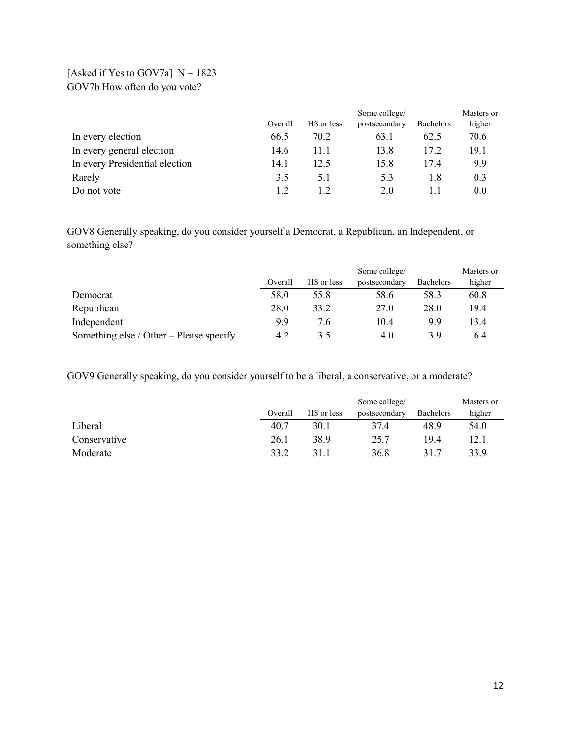### [Asked if Yes to GOV7a]  $N = 1823$ GOV7b How often do you vote?

|                                |         |            | Some college/ |                  | Masters or |
|--------------------------------|---------|------------|---------------|------------------|------------|
|                                | Overall | HS or less | postsecondary | <b>Bachelors</b> | higher     |
| In every election              | 66.5    | 70.2       | 63.1          | 62.5             | 70.6       |
| In every general election      | 14.6    | 11.1       | 13.8          | 17.2             | 19.1       |
| In every Presidential election | 14.1    | 12.5       | 15.8          | 17.4             | 9.9        |
| Rarely                         | 3.5     | 5.1        | 5.3           | 1.8              | 0.3        |
| Do not vote                    | 1.2     | 1.2        | 2.0           |                  | 0.0        |

GOV8 Generally speaking, do you consider yourself a Democrat, a Republican, an Independent, or something else?

|                                         |         |            | Some college/ |                  | Masters or |
|-----------------------------------------|---------|------------|---------------|------------------|------------|
|                                         | Overall | HS or less | postsecondary | <b>Bachelors</b> | higher     |
| Democrat                                | 58.0    | 55.8       | 58.6          | 58.3             | 60.8       |
| Republican                              | 28.0    | 33.2       | 27.0          | 28.0             | 19.4       |
| Independent                             | 9.9     | 7.6        | 10.4          | 9.9              | 13.4       |
| Something else / Other – Please specify | 4.2     | 3.5        | 4.0           | 3.9              | 6.4        |

GOV9 Generally speaking, do you consider yourself to be a liberal, a conservative, or a moderate?

|              |         |            | Some college/ |                  | Masters or |
|--------------|---------|------------|---------------|------------------|------------|
|              | Overall | HS or less | postsecondary | <b>Bachelors</b> | higher     |
| Liberal      | 40.7    | 30.1       | 37.4          | 48.9             | 54.0       |
| Conservative | 26.1    | 38.9       | 25.7          | 19.4             | 12.1       |
| Moderate     | 33.2    | 31.1       | 36.8          | 31.7             | 33.9       |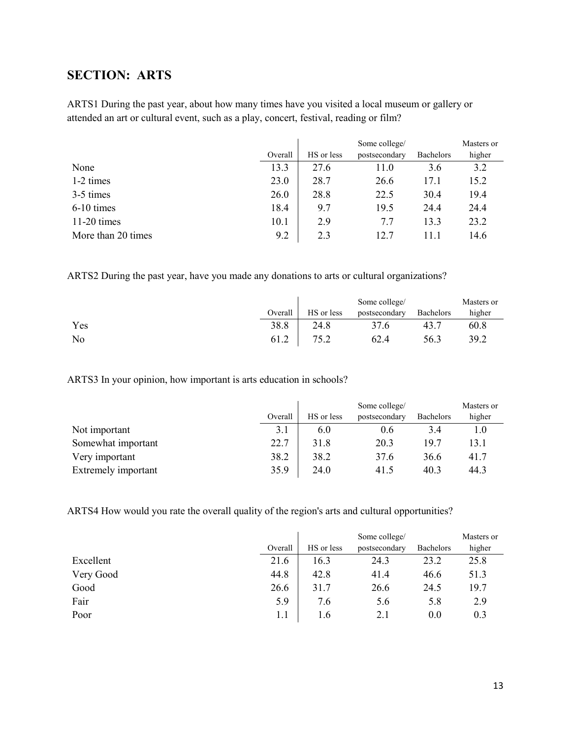## <span id="page-12-0"></span>**SECTION: ARTS**

ARTS1 During the past year, about how many times have you visited a local museum or gallery or attended an art or cultural event, such as a play, concert, festival, reading or film?

|                    |         | Some college/ |               |                  | Masters or |
|--------------------|---------|---------------|---------------|------------------|------------|
|                    | Overall | HS or less    | postsecondary | <b>Bachelors</b> | higher     |
| None               | 13.3    | 27.6          | 11.0          | 3.6              | 3.2        |
| 1-2 times          | 23.0    | 28.7          | 26.6          | 17.1             | 15.2       |
| 3-5 times          | 26.0    | 28.8          | 22.5          | 30.4             | 19.4       |
| 6-10 times         | 18.4    | 9.7           | 19.5          | 24.4             | 24.4       |
| $11-20$ times      | 10.1    | 2.9           | 7.7           | 13.3             | 23.2       |
| More than 20 times | 9.2     | 2.3           | 12.7          | 11.1             | 14.6       |

ARTS2 During the past year, have you made any donations to arts or cultural organizations?

|     |         |            | Some college/ |                  | Masters or |
|-----|---------|------------|---------------|------------------|------------|
|     | Overall | HS or less | postsecondary | <b>Bachelors</b> | higher     |
| Yes | 38.8    | 24.8       | 37.6          | 43.′             | 60.8       |
| No  | 61.2    |            | 62.4          | 56.3             | 39.2       |

ARTS3 In your opinion, how important is arts education in schools?

|                     |         | Some college/ |               |                  | Masters or |
|---------------------|---------|---------------|---------------|------------------|------------|
|                     | Overall | HS or less    | postsecondary | <b>Bachelors</b> | higher     |
| Not important       | 3.1     | 6.0           | 0.6           | 3.4              | 1.0        |
| Somewhat important  | 22.7    | 31.8          | 20.3          | 19.7             | 13.1       |
| Very important      | 38.2    | 38.2          | 37.6          | 36.6             | 41.7       |
| Extremely important | 35.9    | 24.0          | 41.5          | 40.3             | 44.3       |

ARTS4 How would you rate the overall quality of the region's arts and cultural opportunities?

|           |         | Some college/ |               |                  | Masters or |
|-----------|---------|---------------|---------------|------------------|------------|
|           | Overall | HS or less    | postsecondary | <b>Bachelors</b> | higher     |
| Excellent | 21.6    | 16.3          | 24.3          | 23.2             | 25.8       |
| Very Good | 44.8    | 42.8          | 41.4          | 46.6             | 51.3       |
| Good      | 26.6    | 31.7          | 26.6          | 24.5             | 19.7       |
| Fair      | 5.9     | 7.6           | 5.6           | 5.8              | 2.9        |
| Poor      | 1.1     | 1.6           | 2.1           | 0.0              | 0.3        |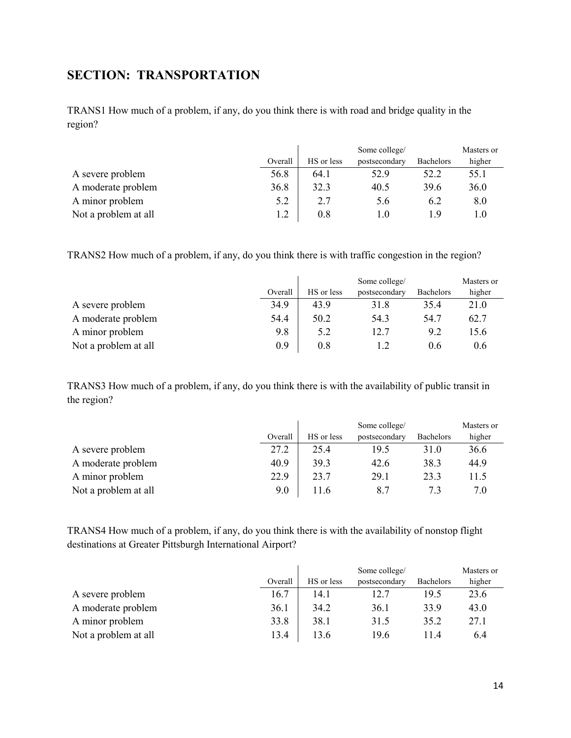## <span id="page-13-0"></span>**SECTION: TRANSPORTATION**

TRANS1 How much of a problem, if any, do you think there is with road and bridge quality in the region?

|                      |         | Some college/ |               |           | Masters or |
|----------------------|---------|---------------|---------------|-----------|------------|
|                      | Overall | HS or less    | postsecondary | Bachelors | higher     |
| A severe problem     | 56.8    | 64.1          | 52.9          | 52.2      | 55.1       |
| A moderate problem   | 36.8    | 32.3          | 40.5          | 39.6      | 36.0       |
| A minor problem      | 5.2     | 2.7           | 5.6           | 6.2       | 8.0        |
| Not a problem at all |         | 0.8           | 1.0           | 19        |            |

TRANS2 How much of a problem, if any, do you think there is with traffic congestion in the region?

|                      |         | Some college/ |               |                  | Masters or |
|----------------------|---------|---------------|---------------|------------------|------------|
|                      | Overall | HS or less    | postsecondary | <b>Bachelors</b> | higher     |
| A severe problem     | 34.9    | 43.9          | 31.8          | 35.4             | 21.0       |
| A moderate problem   | 54.4    | 50.2          | 54.3          | 54.7             | 62.7       |
| A minor problem      | 9.8     | 5.2           | 12.7          | 9.2              | 15.6       |
| Not a problem at all | 0.9     | $0.8\,$       |               | 0.6              | 0.6        |

TRANS3 How much of a problem, if any, do you think there is with the availability of public transit in the region?

|                      |         | Some college/ |               |                  | Masters or |
|----------------------|---------|---------------|---------------|------------------|------------|
|                      | Overall | HS or less    | postsecondary | <b>Bachelors</b> | higher     |
| A severe problem     | 27.2    | 25.4          | 19.5          | 31.0             | 36.6       |
| A moderate problem   | 40.9    | 39.3          | 42.6          | 38.3             | 44.9       |
| A minor problem      | 22.9    | 23.7          | 29.1          | 23.3             | 11.5       |
| Not a problem at all | 9.0     | 11.6          | 8.7           | 7.3              | 7.0        |

TRANS4 How much of a problem, if any, do you think there is with the availability of nonstop flight destinations at Greater Pittsburgh International Airport?

|                      |         | Some college/ |               |                  | Masters or |
|----------------------|---------|---------------|---------------|------------------|------------|
|                      | Overall | HS or less    | postsecondary | <b>Bachelors</b> | higher     |
| A severe problem     | 16.7    | 14.1          | 12.7          | 19.5             | 23.6       |
| A moderate problem   | 36.1    | 34.2          | 36.1          | 33.9             | 43.0       |
| A minor problem      | 33.8    | 38.1          | 31.5          | 35.2             | 27.1       |
| Not a problem at all | 13.4    | 13.6          | 19.6          | 11.4             | 6.4        |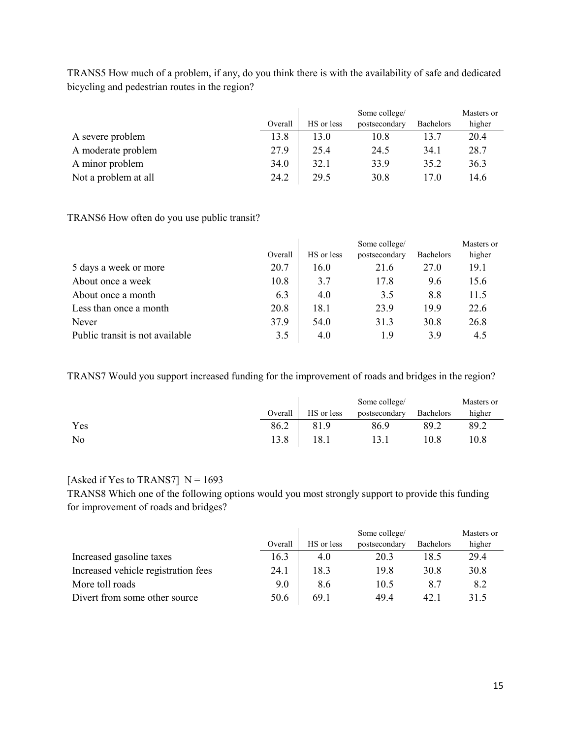|                      |         | Some college/ |               |                  | Masters or |
|----------------------|---------|---------------|---------------|------------------|------------|
|                      | Overall | HS or less    | postsecondary | <b>Bachelors</b> | higher     |
| A severe problem     | 13.8    | 13.0          | 10.8          | 13.7             | 20.4       |
| A moderate problem   | 27.9    | 25.4          | 24.5          | 34.1             | 28.7       |
| A minor problem      | 34.0    | 32.1          | 33.9          | 35.2             | 36.3       |
| Not a problem at all | 24.2    | 29.5          | 30.8          | 17.0             | 14.6       |

TRANS5 How much of a problem, if any, do you think there is with the availability of safe and dedicated bicycling and pedestrian routes in the region?

TRANS6 How often do you use public transit?

|                                 |         | Some college/ |               |                  | Masters or |
|---------------------------------|---------|---------------|---------------|------------------|------------|
|                                 | Overall | HS or less    | postsecondary | <b>Bachelors</b> | higher     |
| 5 days a week or more           | 20.7    | 16.0          | 21.6          | 27.0             | 19.1       |
| About once a week               | 10.8    | 3.7           | 17.8          | 9.6              | 15.6       |
| About once a month              | 6.3     | 4.0           | 3.5           | 8.8              | 11.5       |
| Less than once a month          | 20.8    | 18.1          | 23.9          | 19.9             | 22.6       |
| Never                           | 37.9    | 54.0          | 31.3          | 30.8             | 26.8       |
| Public transit is not available | 3.5     | 4.0           | 1.9           | 3.9              | 4.5        |

TRANS7 Would you support increased funding for the improvement of roads and bridges in the region?

|     |         |            | Some college/ |           | Masters or |
|-----|---------|------------|---------------|-----------|------------|
|     | Overall | HS or less | postsecondary | Bachelors | higher     |
| Yes | 86.2    | 81.9       | 86.9          | 89.2      | 89.2       |
| No  | 13.8    | l 8.1      | 13.1          | 10.8      | 10.8       |

### [Asked if Yes to TRANS7]  $N = 1693$

TRANS8 Which one of the following options would you most strongly support to provide this funding for improvement of roads and bridges?

|                                     |         | Some college/ |               |                  | Masters or |
|-------------------------------------|---------|---------------|---------------|------------------|------------|
|                                     | Overall | HS or less    | postsecondary | <b>Bachelors</b> | higher     |
| Increased gasoline taxes            | 16.3    | 4.0           | 20.3          | 18.5             | 29.4       |
| Increased vehicle registration fees | 24.1    | 18.3          | 19.8          | 30.8             | 30.8       |
| More toll roads                     | 9.0     | 8.6           | 10.5          | 8.7              | 8.2        |
| Divert from some other source       | 50.6    | 69.1          | 49.4          | 42.1             | 31.5       |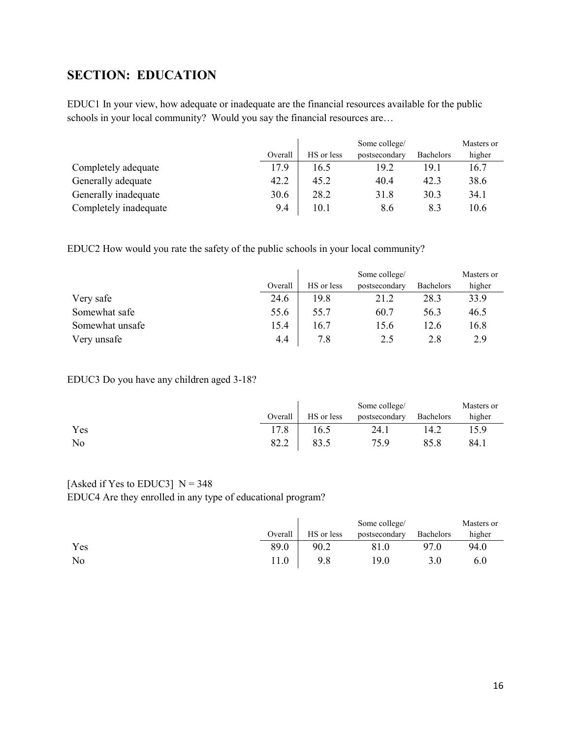## <span id="page-15-0"></span>**SECTION: EDUCATION**

EDUC1 In your view, how adequate or inadequate are the financial resources available for the public schools in your local community? Would you say the financial resources are…

|                       |         | Some college/ |               |                  | Masters or |
|-----------------------|---------|---------------|---------------|------------------|------------|
|                       | Overall | HS or less    | postsecondary | <b>Bachelors</b> | higher     |
| Completely adequate   | 17.9    | 16.5          | 19.2          | 19.1             | 16.7       |
| Generally adequate    | 42.2    | 45.2          | 40.4          | 42.3             | 38.6       |
| Generally inadequate  | 30.6    | 28.2          | 31.8          | 30.3             | 34.1       |
| Completely inadequate | 9.4     | 10.1          | 8.6           | 8.3              | 10.6       |

EDUC2 How would you rate the safety of the public schools in your local community?

|                 |         | Some college/ |               |           | Masters or |
|-----------------|---------|---------------|---------------|-----------|------------|
|                 | Overall | HS or less    | postsecondary | Bachelors | higher     |
| Very safe       | 24.6    | 19.8          | 21.2          | 28.3      | 33.9       |
| Somewhat safe   | 55.6    | 55.7          | 60.7          | 56.3      | 46.5       |
| Somewhat unsafe | 15.4    | 16.7          | 15.6          | 12.6      | 16.8       |
| Very unsafe     | 4.4     | 7.8           | 2.5           | 2.8       | 2.9        |

#### EDUC3 Do you have any children aged 3-18?

|     |         |            | Some college/ |                  | Masters or |
|-----|---------|------------|---------------|------------------|------------|
|     | Overall | HS or less | postsecondary | <b>Bachelors</b> | higher     |
| Yes | 17.8    | 16.5       | 24.1          | 14.2             | 15.9       |
| No  | 82.2    |            | 75.9          | 85.8             | 84.1       |

# [Asked if Yes to EDUC3]  $N = 348$

EDUC4 Are they enrolled in any type of educational program?

|     |         |            | Some college/ |                  | Masters or |
|-----|---------|------------|---------------|------------------|------------|
|     | Overall | HS or less | postsecondary | <b>Bachelors</b> | higher     |
| Yes | 89.0    | 90.2       | 81.0          | 97.0             | 94.0       |
| No  | ! 1.0   | 9.8        | 19.0          |                  | 6.0        |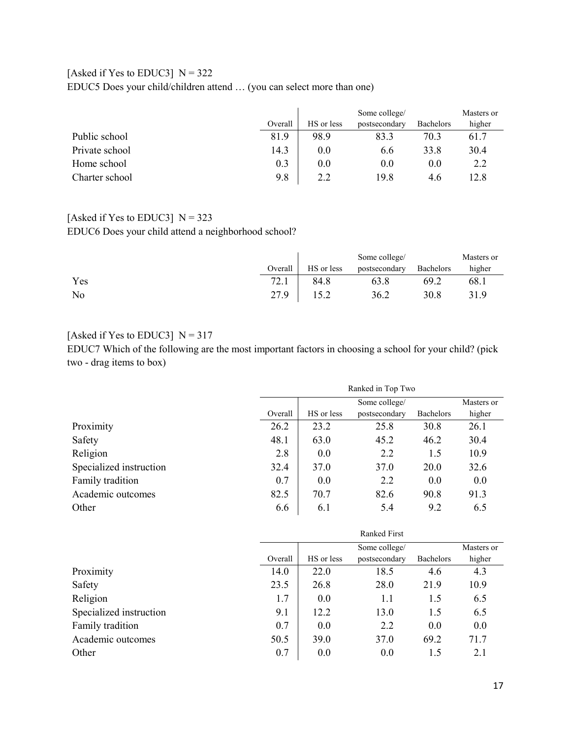### [Asked if Yes to EDUC3]  $N = 322$ EDUC5 Does your child/children attend … (you can select more than one)

|                |         | Some college/ |               |                  | Masters or |
|----------------|---------|---------------|---------------|------------------|------------|
|                | Overall | HS or less    | postsecondary | <b>Bachelors</b> | higher     |
| Public school  | 81.9    | 98.9          | 83.3          | 70.3             | 61.7       |
| Private school | 14.3    | $0.0\,$       | 6.6           | 33.8             | 30.4       |
| Home school    | 0.3     | $0.0\,$       | 0.0           | 0.0              | 2.2        |
| Charter school | 9.8     | 2.2           | 19.8          | 4.6              | 12.8       |

# [Asked if Yes to EDUC3]  $N = 323$

EDUC6 Does your child attend a neighborhood school?

|     |         |            | Some college/ |           | Masters or |
|-----|---------|------------|---------------|-----------|------------|
|     | Overall | HS or less | postsecondary | Bachelors | higher     |
| Yes | 72.1    | 84.8       | 63.8          | 69.2      | 68.1       |
| No  | 27.9    | 15.2       | 36.2          | 30.8      | 31.9       |

### [Asked if Yes to EDUC3]  $N = 317$

EDUC7 Which of the following are the most important factors in choosing a school for your child? (pick two - drag items to box)

|                         |         | Ranked in Top Two |               |                  |            |  |
|-------------------------|---------|-------------------|---------------|------------------|------------|--|
|                         |         |                   | Some college/ |                  | Masters or |  |
|                         | Overall | HS or less        | postsecondary | <b>Bachelors</b> | higher     |  |
| Proximity               | 26.2    | 23.2              | 25.8          | 30.8             | 26.1       |  |
| Safety                  | 48.1    | 63.0              | 45.2          | 46.2             | 30.4       |  |
| Religion                | 2.8     | 0.0               | 2.2           | 1.5              | 10.9       |  |
| Specialized instruction | 32.4    | 37.0              | 37.0          | 20.0             | 32.6       |  |
| Family tradition        | 0.7     | 0.0               | 2.2           | 0.0              | 0.0        |  |
| Academic outcomes       | 82.5    | 70.7              | 82.6          | 90.8             | 91.3       |  |
| Other                   | 6.6     | 6.1               | 5.4           | 9.2              | 6.5        |  |

|                         | <b>Ranked First</b> |            |               |           |            |
|-------------------------|---------------------|------------|---------------|-----------|------------|
|                         |                     |            | Some college/ |           | Masters or |
|                         | Overall             | HS or less | postsecondary | Bachelors | higher     |
| Proximity               | 14.0                | 22.0       | 18.5          | 4.6       | 4.3        |
| Safety                  | 23.5                | 26.8       | 28.0          | 21.9      | 10.9       |
| Religion                | 1.7                 | 0.0        | 1.1           | 1.5       | 6.5        |
| Specialized instruction | 9.1                 | 12.2       | 13.0          | 1.5       | 6.5        |
| Family tradition        | 0.7                 | 0.0        | 2.2           | 0.0       | 0.0        |
| Academic outcomes       | 50.5                | 39.0       | 37.0          | 69.2      | 71.7       |
| Other                   | 0.7                 | 0.0        | 0.0           | 1.5       | 2.1        |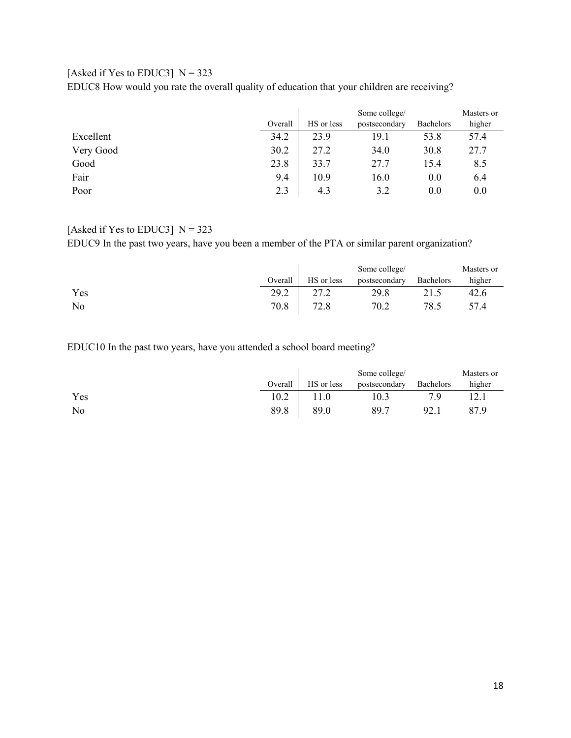#### [Asked if Yes to EDUC3]  $N = 323$

EDUC8 How would you rate the overall quality of education that your children are receiving?

|           |         | Some college/ |               |                  | Masters or |
|-----------|---------|---------------|---------------|------------------|------------|
|           | Overall | HS or less    | postsecondary | <b>Bachelors</b> | higher     |
| Excellent | 34.2    | 23.9          | 19.1          | 53.8             | 57.4       |
| Very Good | 30.2    | 27.2          | 34.0          | 30.8             | 27.7       |
| Good      | 23.8    | 33.7          | 27.7          | 15.4             | 8.5        |
| Fair      | 9.4     | 10.9          | 16.0          | 0.0              | 6.4        |
| Poor      | 2.3     | 4.3           | 3.2           | 0.0              | 0.0        |

#### [Asked if Yes to EDUC3]  $N = 323$

EDUC9 In the past two years, have you been a member of the PTA or similar parent organization?

|     |         |            | Some college/ |           | Masters or |
|-----|---------|------------|---------------|-----------|------------|
|     | Overall | HS or less | postsecondary | Bachelors | higher     |
| Yes | 29.2    | າາ າ       | 29.8          |           | 42.6       |
| No  | 70.8    | 72.8       | 70.2          | 78.5      | 57.4       |

EDUC10 In the past two years, have you attended a school board meeting?

|     |         |            | Some college/ |           | Masters or |
|-----|---------|------------|---------------|-----------|------------|
|     | Overall | HS or less | postsecondary | Bachelors | higher     |
| Yes | 10.2    |            | 0.3           |           |            |
| No  | 89.8    | 89.0       | 89.7          | 92.1      | 87.9       |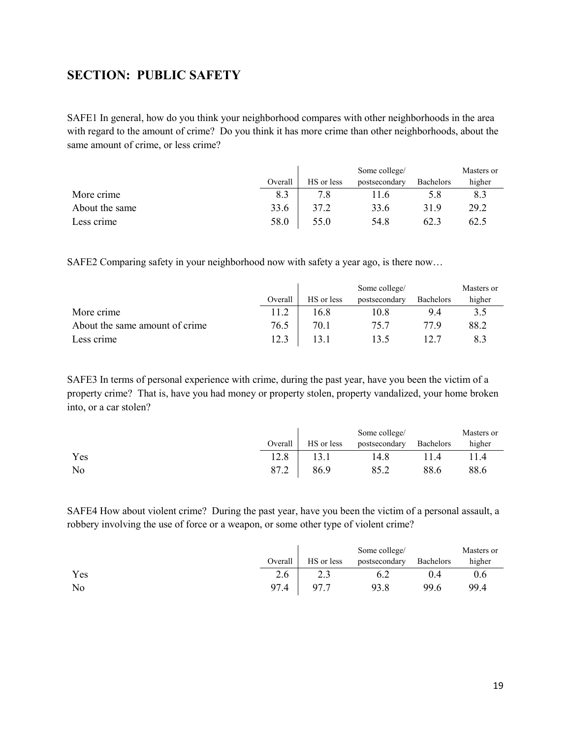### <span id="page-18-0"></span>**SECTION: PUBLIC SAFETY**

SAFE1 In general, how do you think your neighborhood compares with other neighborhoods in the area with regard to the amount of crime? Do you think it has more crime than other neighborhoods, about the same amount of crime, or less crime?

|                |         |            | Some college/ |                  | Masters or |
|----------------|---------|------------|---------------|------------------|------------|
|                | Overall | HS or less | postsecondary | <b>Bachelors</b> | higher     |
| More crime     | 8.3     |            | 1.6           | 5.8              | 8.3        |
| About the same | 33.6    | 37.2       | 33.6          | 31.9             | 29.2       |
| Less crime     | 58.0    | 55.0       | 54.8          | 62.3             | 62.5       |

SAFE2 Comparing safety in your neighborhood now with safety a year ago, is there now…

|                                |         |            | Some college/ |                  | Masters or |
|--------------------------------|---------|------------|---------------|------------------|------------|
|                                | Overall | HS or less | postsecondary | <b>Bachelors</b> | higher     |
| More crime                     | 11.2    | 16.8       | 10.8          | 9.4              | 3.5        |
| About the same amount of crime | 76.5    | 70.1       | 75.7          | 77 Q             | 88.2       |
| Less crime                     | 12.3    |            |               |                  |            |

SAFE3 In terms of personal experience with crime, during the past year, have you been the victim of a property crime? That is, have you had money or property stolen, property vandalized, your home broken into, or a car stolen?

|     |         |            | Some college/ |                  | Masters or |
|-----|---------|------------|---------------|------------------|------------|
|     | Overall | HS or less | postsecondary | <b>Bachelors</b> | higher     |
| Yes | 12.8    |            | 14.8          |                  |            |
| No  | 87.2    | 86.9       | 85.2          | 88.6             | 88.6       |

SAFE4 How about violent crime? During the past year, have you been the victim of a personal assault, a robbery involving the use of force or a weapon, or some other type of violent crime?

|     |         |            | Some college/ |           | Masters or |
|-----|---------|------------|---------------|-----------|------------|
|     | Overall | HS or less | postsecondary | Bachelors | higher     |
| Yes | 2.6     | ر . ب      | 0.2           | 0.4       | 0.6        |
| No  | 97.4    | 97.7       | 93.8          | 99.6      | 99.4       |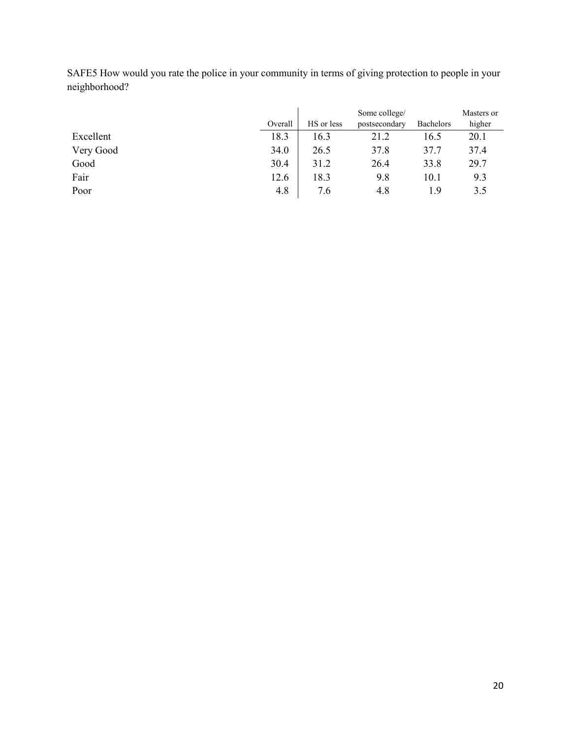SAFE5 How would you rate the police in your community in terms of giving protection to people in your neighborhood?

|           |         | Some college/ |               |                  | Masters or |
|-----------|---------|---------------|---------------|------------------|------------|
|           | Overall | HS or less    | postsecondary | <b>Bachelors</b> | higher     |
| Excellent | 18.3    | 16.3          | 21.2          | 16.5             | 20.1       |
| Very Good | 34.0    | 26.5          | 37.8          | 37.7             | 37.4       |
| Good      | 30.4    | 31.2          | 26.4          | 33.8             | 29.7       |
| Fair      | 12.6    | 18.3          | 9.8           | 10.1             | 9.3        |
| Poor      | 4.8     | 7.6           | 4.8           | 1.9              | 3.5        |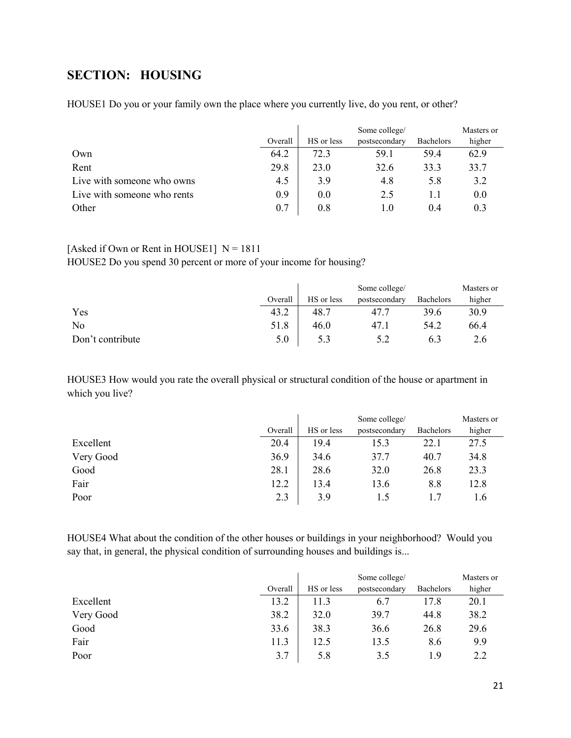## <span id="page-20-0"></span>**SECTION: HOUSING**

|                             |         | Some college/ |                   |                  | Masters or |
|-----------------------------|---------|---------------|-------------------|------------------|------------|
|                             | Overall | HS or less    | postsecondary     | <b>Bachelors</b> | higher     |
| Own                         | 64.2    | 72.3          | 59.1              | 59.4             | 62.9       |
| Rent                        | 29.8    | 23.0          | 32.6              | 33.3             | 33.7       |
| Live with someone who owns  | 4.5     | 3.9           | 4.8               | 5.8              | 3.2        |
| Live with someone who rents | 0.9     | 0.0           | 2.5               | 1.1              | 0.0        |
| Other                       | 0.7     | $0.8\,$       | $\mathbf{I}$ . () | 0.4              | 0.3        |

HOUSE1 Do you or your family own the place where you currently live, do you rent, or other?

#### [Asked if Own or Rent in HOUSE1]  $N = 1811$

HOUSE2 Do you spend 30 percent or more of your income for housing?

|                  |         | Some college/ |               |           | Masters or |
|------------------|---------|---------------|---------------|-----------|------------|
|                  | Overall | HS or less    | postsecondary | Bachelors | higher     |
| Yes              | 43.2    | 48.7          | 47            | 39.6      | 30.9       |
| No               | 51.8    | 46.0          | 47.1          | 54.2      | 66.4       |
| Don't contribute | 5.0     |               | 5.2           | 6.3       | 2.6        |

HOUSE3 How would you rate the overall physical or structural condition of the house or apartment in which you live?

|           |         | Some college/ |               |                  | Masters or |
|-----------|---------|---------------|---------------|------------------|------------|
|           | Overall | HS or less    | postsecondary | <b>Bachelors</b> | higher     |
| Excellent | 20.4    | 19.4          | 15.3          | 22.1             | 27.5       |
| Very Good | 36.9    | 34.6          | 37.7          | 40.7             | 34.8       |
| Good      | 28.1    | 28.6          | 32.0          | 26.8             | 23.3       |
| Fair      | 12.2    | 13.4          | 13.6          | 8.8              | 12.8       |
| Poor      | 2.3     | 3.9           | 1.5           |                  | 1.6        |

HOUSE4 What about the condition of the other houses or buildings in your neighborhood? Would you say that, in general, the physical condition of surrounding houses and buildings is...

|           |         | Some college/ |               |           | Masters or |
|-----------|---------|---------------|---------------|-----------|------------|
|           | Overall | HS or less    | postsecondary | Bachelors | higher     |
| Excellent | 13.2    | 11.3          | 6.7           | 17.8      | 20.1       |
| Very Good | 38.2    | 32.0          | 39.7          | 44.8      | 38.2       |
| Good      | 33.6    | 38.3          | 36.6          | 26.8      | 29.6       |
| Fair      | 11.3    | 12.5          | 13.5          | 8.6       | 9.9        |
| Poor      | 3.7     | 5.8           | 3.5           | 1.9       | 2.2        |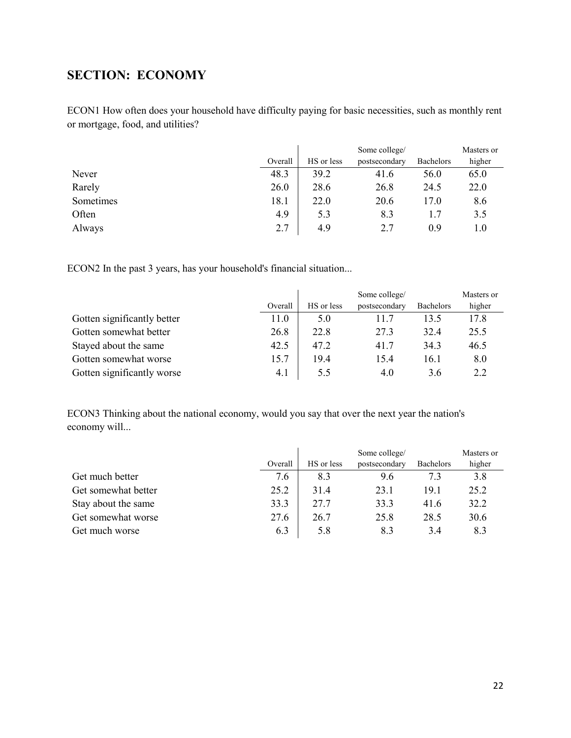## <span id="page-21-0"></span>**SECTION: ECONOMY**

ECON1 How often does your household have difficulty paying for basic necessities, such as monthly rent or mortgage, food, and utilities?

|           |         | Some college/ |               |           | Masters or |
|-----------|---------|---------------|---------------|-----------|------------|
|           | Overall | HS or less    | postsecondary | Bachelors | higher     |
| Never     | 48.3    | 39.2          | 41.6          | 56.0      | 65.0       |
| Rarely    | 26.0    | 28.6          | 26.8          | 24.5      | 22.0       |
| Sometimes | 18.1    | 22.0          | 20.6          | 17.0      | 8.6        |
| Often     | 4.9     | 5.3           | 8.3           |           | 3.5        |
| Always    | 2.7     | 4.9           | 2.7           | 0.9       | 1.0        |

ECON2 In the past 3 years, has your household's financial situation...

|                             |         |            | Some college/ |                  | Masters or |
|-----------------------------|---------|------------|---------------|------------------|------------|
|                             | Overall | HS or less | postsecondary | <b>Bachelors</b> | higher     |
| Gotten significantly better | 11.0    | 5.0        | 11.7          | 13.5             | 17.8       |
| Gotten somewhat better      | 26.8    | 22.8       | 27.3          | 32.4             | 25.5       |
| Stayed about the same       | 42.5    | 47.2       | 41.7          | 34.3             | 46.5       |
| Gotten somewhat worse       | 15.7    | 19.4       | 15.4          | 16.1             | 8.0        |
| Gotten significantly worse  | 4.1     | 5.5        | 4.0           | 3.6              | 2.2        |

ECON3 Thinking about the national economy, would you say that over the next year the nation's economy will...

|                     |         |            | Some college/ |                  | Masters or |
|---------------------|---------|------------|---------------|------------------|------------|
|                     | Overall | HS or less | postsecondary | <b>Bachelors</b> | higher     |
| Get much better     | 7.6     | 8.3        | 9.6           | 7.3              | 3.8        |
| Get somewhat better | 25.2    | 31.4       | 23.1          | 19.1             | 25.2       |
| Stay about the same | 33.3    | 27.7       | 33.3          | 41.6             | 32.2       |
| Get somewhat worse  | 27.6    | 26.7       | 25.8          | 28.5             | 30.6       |
| Get much worse      | 6.3     | 5.8        | 8.3           | 3.4              | 8.3        |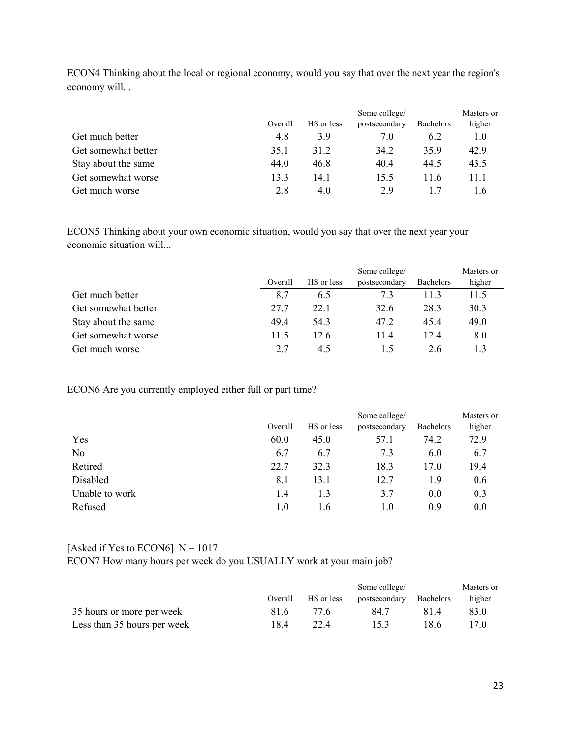|                     |         | Some college/ |               |                  | Masters or |
|---------------------|---------|---------------|---------------|------------------|------------|
|                     | Overall | HS or less    | postsecondary | <b>Bachelors</b> | higher     |
| Get much better     | 4.8     | 3.9           | 7.0           | 6.2              | 1.0        |
| Get somewhat better | 35.1    | 31.2          | 34.2          | 35.9             | 42.9       |
| Stay about the same | 44.0    | 46.8          | 40.4          | 44.5             | 43.5       |
| Get somewhat worse  | 13.3    | 14.1          | 15.5          | 11.6             | 11.1       |
| Get much worse      | 2.8     | 4.0           | 2.9           |                  | 1.6        |

ECON4 Thinking about the local or regional economy, would you say that over the next year the region's economy will...

ECON5 Thinking about your own economic situation, would you say that over the next year your economic situation will...

|                     |         | Some college/ |               |                  | Masters or |
|---------------------|---------|---------------|---------------|------------------|------------|
|                     | Overall | HS or less    | postsecondary | <b>Bachelors</b> | higher     |
| Get much better     | 8.7     | 6.5           | 7.3           | 11.3             | 11.5       |
| Get somewhat better | 27.7    | 22.1          | 32.6          | 28.3             | 30.3       |
| Stay about the same | 49.4    | 54.3          | 47.2          | 45.4             | 49.0       |
| Get somewhat worse  | 11.5    | 12.6          | 11.4          | 12.4             | 8.0        |
| Get much worse      | 2.7     | 4.5           | L.5           | 2.6              |            |

ECON6 Are you currently employed either full or part time?

|                |         |            | Some college/ |           | Masters or |
|----------------|---------|------------|---------------|-----------|------------|
|                | Overall | HS or less | postsecondary | Bachelors | higher     |
| Yes            | 60.0    | 45.0       | 57.1          | 74.2      | 72.9       |
| No             | 6.7     | 6.7        | 7.3           | 6.0       | 6.7        |
| Retired        | 22.7    | 32.3       | 18.3          | 17.0      | 19.4       |
| Disabled       | 8.1     | 13.1       | 12.7          | 1.9       | 0.6        |
| Unable to work | 1.4     | 1.3        | 3.7           | 0.0       | 0.3        |
| Refused        | $1.0\,$ | 1.6        | 1.0           | 0.9       | 0.0        |

#### [Asked if Yes to ECON6]  $N = 1017$

ECON7 How many hours per week do you USUALLY work at your main job?

|                             |         | Some college/ |               |                  | Masters or |
|-----------------------------|---------|---------------|---------------|------------------|------------|
|                             | Overall | HS or less    | postsecondary | <b>Bachelors</b> | higher     |
| 35 hours or more per week   | 81.6    | 77.6          | 84.7          | 81.4             | 83.0       |
| Less than 35 hours per week | 18.4    |               | 15.3          | 18.6             |            |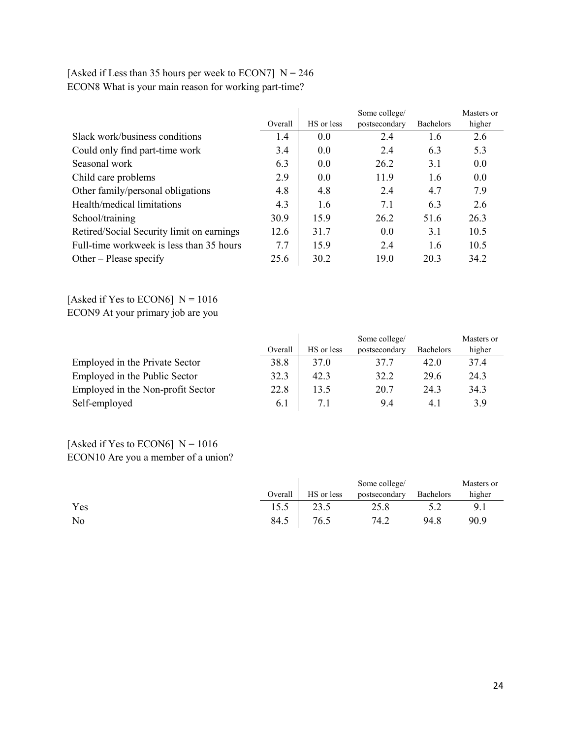|                                           |         |            | Some college/ |                  | Masters or |
|-------------------------------------------|---------|------------|---------------|------------------|------------|
|                                           | Overall | HS or less | postsecondary | <b>Bachelors</b> | higher     |
| Slack work/business conditions            | 1.4     | 0.0        | 2.4           | 1.6              | 2.6        |
| Could only find part-time work            | 3.4     | 0.0        | 2.4           | 6.3              | 5.3        |
| Seasonal work                             | 6.3     | 0.0        | 26.2          | 3.1              | 0.0        |
| Child care problems                       | 2.9     | 0.0        | 11.9          | 1.6              | 0.0        |
| Other family/personal obligations         | 4.8     | 4.8        | 2.4           | 4.7              | 7.9        |
| Health/medical limitations                | 4.3     | 1.6        | 7.1           | 6.3              | 2.6        |
| School/training                           | 30.9    | 15.9       | 26.2          | 51.6             | 26.3       |
| Retired/Social Security limit on earnings | 12.6    | 31.7       | 0.0           | 3.1              | 10.5       |
| Full-time workweek is less than 35 hours  | 7.7     | 15.9       | 2.4           | 1.6              | 10.5       |
| Other – Please specify                    | 25.6    | 30.2       | 19.0          | 20.3             | 34.2       |

| [Asked if Less than 35 hours per week to ECON7] $N = 246$ |  |
|-----------------------------------------------------------|--|
| ECON8 What is your main reason for working part-time?     |  |

[Asked if Yes to ECON6]  $N = 1016$ ECON9 At your primary job are you

|                                   |         | Some college/ |               |                  | Masters or |
|-----------------------------------|---------|---------------|---------------|------------------|------------|
|                                   | Overall | HS or less    | postsecondary | <b>Bachelors</b> | higher     |
| Employed in the Private Sector    | 38.8    | 37.0          | 37.7          | 42.0             | 37.4       |
| Employed in the Public Sector     | 32.3    | 42.3          | 32.2          | 29.6             | 24.3       |
| Employed in the Non-profit Sector | 22.8    | 13.5          | 20.7          | 24.3             | 34.3       |
| Self-employed                     | 6.1     | 7.1           | 9.4           | 4.1              | 3.9        |

[Asked if Yes to ECON6]  $N = 1016$ ECON10 Are you a member of a union?

|     | Overall | HS or less | Some college/<br>postsecondary | Bachelors | Masters or<br>higher |
|-----|---------|------------|--------------------------------|-----------|----------------------|
| Yes | 15.5    | 23.5       | 25.8                           |           | 9.1                  |
| No  | 84.5    | 76.5       | 74.2                           | 94.8      | 90.9                 |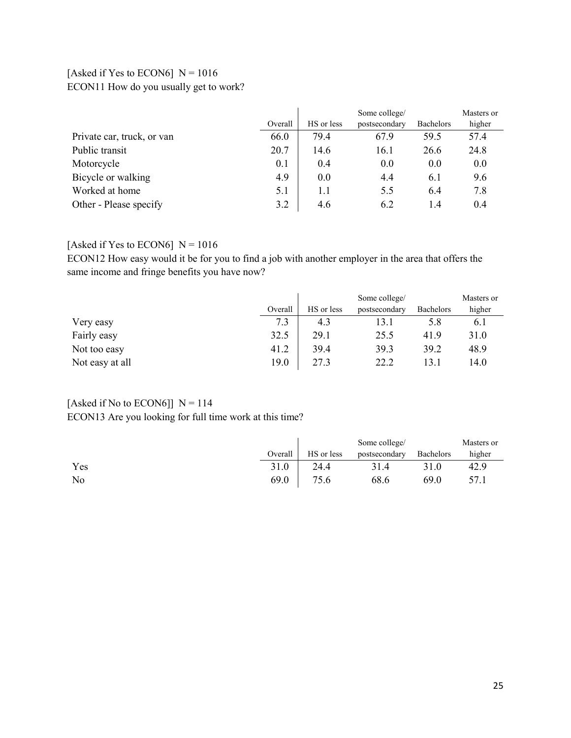### [Asked if Yes to ECON6]  $N = 1016$ ECON11 How do you usually get to work?

|                            |         | Some college/ |               |                  | Masters or |
|----------------------------|---------|---------------|---------------|------------------|------------|
|                            | Overall | HS or less    | postsecondary | <b>Bachelors</b> | higher     |
| Private car, truck, or van | 66.0    | 79.4          | 67.9          | 59.5             | 57.4       |
| Public transit             | 20.7    | 14.6          | 16.1          | 26.6             | 24.8       |
| Motorcycle                 | 0.1     | 0.4           | 0.0           | 0.0              | 0.0        |
| Bicycle or walking         | 4.9     | 0.0           | 4.4           | 6.1              | 9.6        |
| Worked at home             | 5.1     | 1.1           | 5.5           | 6.4              | 7.8        |
| Other - Please specify     | 3.2     | 4.6           | 6.2           | 1.4              | 0.4        |

#### [Asked if Yes to ECON6]  $N = 1016$

ECON12 How easy would it be for you to find a job with another employer in the area that offers the same income and fringe benefits you have now?

|                 |         |            | Some college/ |           | Masters or |
|-----------------|---------|------------|---------------|-----------|------------|
|                 | Overall | HS or less | postsecondary | Bachelors | higher     |
| Very easy       | 7.3     | 4.3        | 13.1          | 5.8       | 6.1        |
| Fairly easy     | 32.5    | 29.1       | 25.5          | 41.9      | 31.0       |
| Not too easy    | 41.2    | 39.4       | 39.3          | 39.2      | 48.9       |
| Not easy at all | 19.0    | 27.3       | 22.2          | 13.1      | 14.0       |

## [Asked if No to ECON6]]  $N = 114$

ECON13 Are you looking for full time work at this time?

|     |         |            | Some college/ |           | Masters or |
|-----|---------|------------|---------------|-----------|------------|
|     | Overall | HS or less | postsecondary | Bachelors | higher     |
| Yes | 31.0    | 24.4       | 31.4          | 31.0      | 42.9       |
| No  | 69.0    | 75.6       | 68.6          | 69.0      | 57.1       |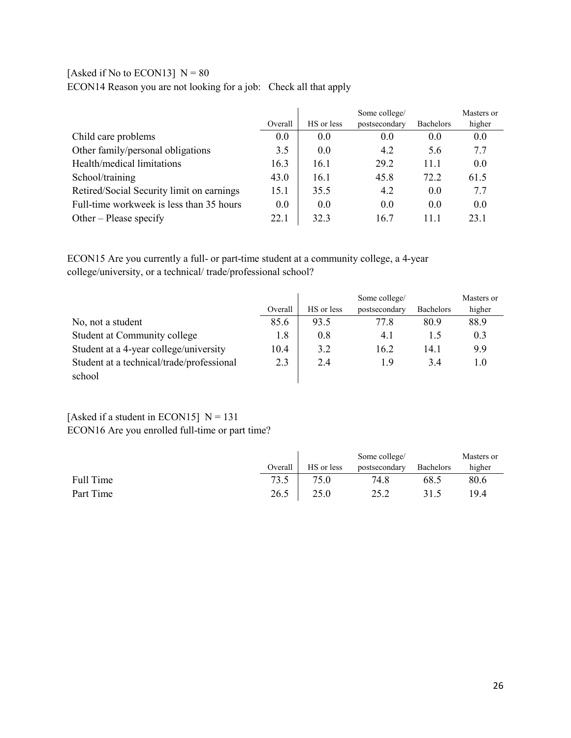### [Asked if No to ECON13]  $N = 80$

ECON14 Reason you are not looking for a job: Check all that apply

|                                           |         |            | Some college/ |                  | Masters or |
|-------------------------------------------|---------|------------|---------------|------------------|------------|
|                                           | Overall | HS or less | postsecondary | <b>Bachelors</b> | higher     |
| Child care problems                       | 0.0     | 0.0        | 0.0           | 0.0              | 0.0        |
| Other family/personal obligations         | 3.5     | 0.0        | 4.2           | 5.6              | 7.7        |
| Health/medical limitations                | 16.3    | 16.1       | 29.2          | 11.1             | 0.0        |
| School/training                           | 43.0    | 16.1       | 45.8          | 72.2             | 61.5       |
| Retired/Social Security limit on earnings | 15.1    | 35.5       | 4.2           | 0.0              | 7.7        |
| Full-time workweek is less than 35 hours  | 0.0     | 0.0        | 0.0           | 0.0              | 0.0        |
| Other – Please specify                    | 22.1    | 32.3       | 16.7          | 11.1             | 23.1       |

ECON15 Are you currently a full- or part-time student at a community college, a 4-year college/university, or a technical/ trade/professional school?

|                                           |         |            | Some college/ |                  | Masters or |
|-------------------------------------------|---------|------------|---------------|------------------|------------|
|                                           | Overall | HS or less | postsecondary | <b>Bachelors</b> | higher     |
| No, not a student                         | 85.6    | 93.5       | 77.8          | 80.9             | 88.9       |
| Student at Community college              | 1.8     | 0.8        | 4.1           | 1.5              | 0.3        |
| Student at a 4-year college/university    | 10.4    | 3.2        | 16.2          | 14.1             | 9.9        |
| Student at a technical/trade/professional | 2.3     | 2.4        | 1.9           | 3.4              | 1.0        |
| school                                    |         |            |               |                  |            |

### [Asked if a student in ECON15]  $N = 131$ ECON16 Are you enrolled full-time or part time?

|           |         |            | Some college/ |           | Masters or |
|-----------|---------|------------|---------------|-----------|------------|
|           | Overall | HS or less | postsecondary | Bachelors | higher     |
| Full Time | 73.5    | 75.0       | 74.8          | 68.5      | 80.6       |
| Part Time | 26.5    | 25.0       | つく つ          | 31.5      | 19.4       |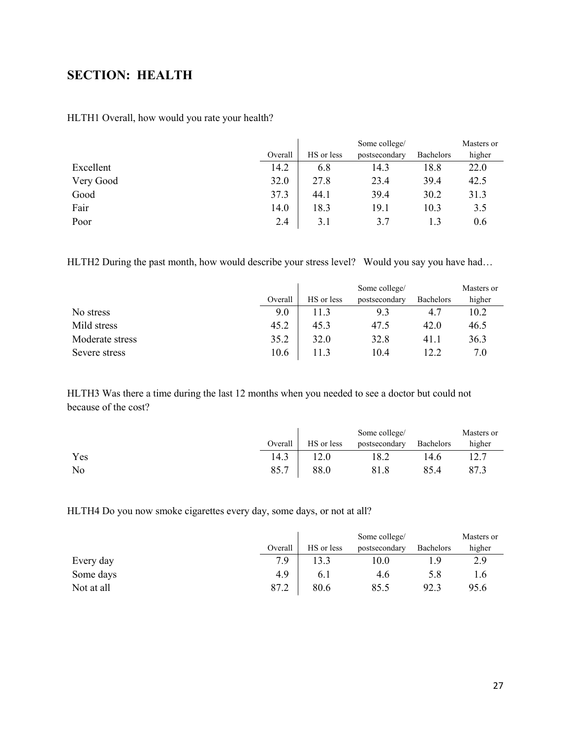## <span id="page-26-0"></span>**SECTION: HEALTH**

|           |         | Some college/ |               |           | Masters or |
|-----------|---------|---------------|---------------|-----------|------------|
|           | Overall | HS or less    | postsecondary | Bachelors | higher     |
| Excellent | 14.2    | 6.8           | 14.3          | 18.8      | 22.0       |
| Very Good | 32.0    | 27.8          | 23.4          | 39.4      | 42.5       |
| Good      | 37.3    | 44.1          | 39.4          | 30.2      | 31.3       |
| Fair      | 14.0    | 18.3          | 19.1          | 10.3      | 3.5        |
| Poor      | 2.4     | 3.1           | 3.7           | 1.3       | 0.6        |

HLTH2 During the past month, how would describe your stress level? Would you say you have had...

|                 |         | Some college/ |               |           | Masters or |
|-----------------|---------|---------------|---------------|-----------|------------|
|                 | Overall | HS or less    | postsecondary | Bachelors | higher     |
| No stress       | 9.0     | 11.3          | 9.3           | 4.7       | 10.2       |
| Mild stress     | 45.2    | 45.3          | 47.5          | 42.0      | 46.5       |
| Moderate stress | 35.2    | 32.0          | 32.8          | 41.1      | 36.3       |
| Severe stress   | 10.6    | 11.3          | 10.4          | 12.2      | 7.0        |

HLTH3 Was there a time during the last 12 months when you needed to see a doctor but could not because of the cost?

|     |         |            | Some college/ |           | Masters or |
|-----|---------|------------|---------------|-----------|------------|
|     | Overall | HS or less | postsecondary | Bachelors | higher     |
| Yes | 14.3    |            | 18.2          | 14.6      | 12.7       |
| No  | 85.7    | 88.0       | 81.8          | 85.4      | 87.3       |

HLTH4 Do you now smoke cigarettes every day, some days, or not at all?

|            |         |            | Some college/ |                  | Masters or |
|------------|---------|------------|---------------|------------------|------------|
|            | Overall | HS or less | postsecondary | <b>Bachelors</b> | higher     |
| Every day  | 7.9     |            | 10.0          | 1.9              | 2.9        |
| Some days  | 4.9     | 6.1        | 4.6           | 5.8              | 1.6        |
| Not at all | 87.2    | 80.6       | 85.5          | 92.3             | 95.6       |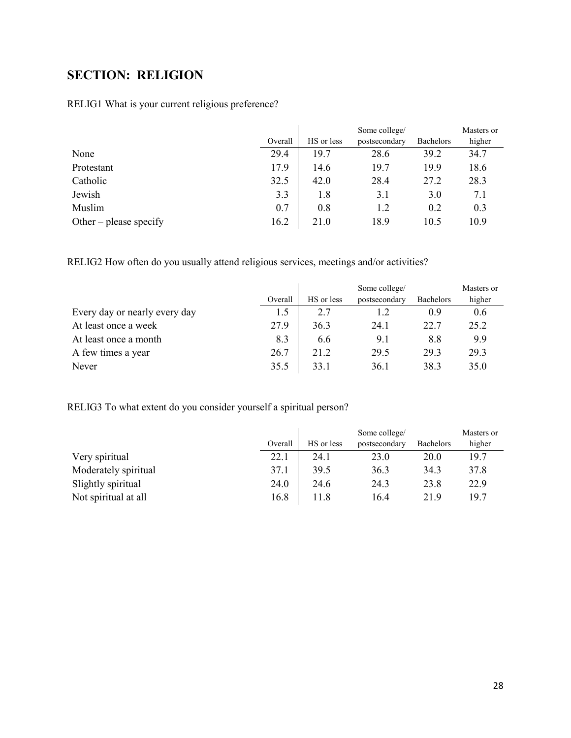# <span id="page-27-0"></span>**SECTION: RELIGION**

### RELIG1 What is your current religious preference?

|                        |         |            | Some college/ |                  | Masters or |
|------------------------|---------|------------|---------------|------------------|------------|
|                        | Overall | HS or less | postsecondary | <b>Bachelors</b> | higher     |
| None                   | 29.4    | 19.7       | 28.6          | 39.2             | 34.7       |
| Protestant             | 17.9    | 14.6       | 19.7          | 19.9             | 18.6       |
| Catholic               | 32.5    | 42.0       | 28.4          | 27.2             | 28.3       |
| Jewish                 | 3.3     | 1.8        | 3.1           | 3.0              | 7.1        |
| Muslim                 | 0.7     | 0.8        | 1.2           | 0.2              | 0.3        |
| Other – please specify | 16.2    | 21.0       | 18.9          | 10.5             | 10.9       |

RELIG2 How often do you usually attend religious services, meetings and/or activities?

|                               |         | Some college/ |               |                  | Masters or |
|-------------------------------|---------|---------------|---------------|------------------|------------|
|                               | Overall | HS or less    | postsecondary | <b>Bachelors</b> | higher     |
| Every day or nearly every day | 1.5     | 2.7           |               | 0.9              | 0.6        |
| At least once a week          | 27.9    | 36.3          | 24.1          | 22.7             | 25.2       |
| At least once a month         | 8.3     | 6.6           | 9.1           | 8.8              | 9.9        |
| A few times a year            | 26.7    | 21.2          | 29.5          | 29.3             | 29.3       |
| Never                         | 35.5    | 33.1          | 36.1          | 38.3             | 35.0       |

RELIG3 To what extent do you consider yourself a spiritual person?

|                      |         |            | Some college/ |                  | Masters or |
|----------------------|---------|------------|---------------|------------------|------------|
|                      | Overall | HS or less | postsecondary | <b>Bachelors</b> | higher     |
| Very spiritual       | 22.1    | 24.1       | 23.0          | 20.0             | 19.7       |
| Moderately spiritual | 37.1    | 39.5       | 36.3          | 34.3             | 37.8       |
| Slightly spiritual   | 24.0    | 24.6       | 24.3          | 23.8             | 22.9       |
| Not spiritual at all | 16.8    | 11.8       | 16.4          | 21.9             | 19.7       |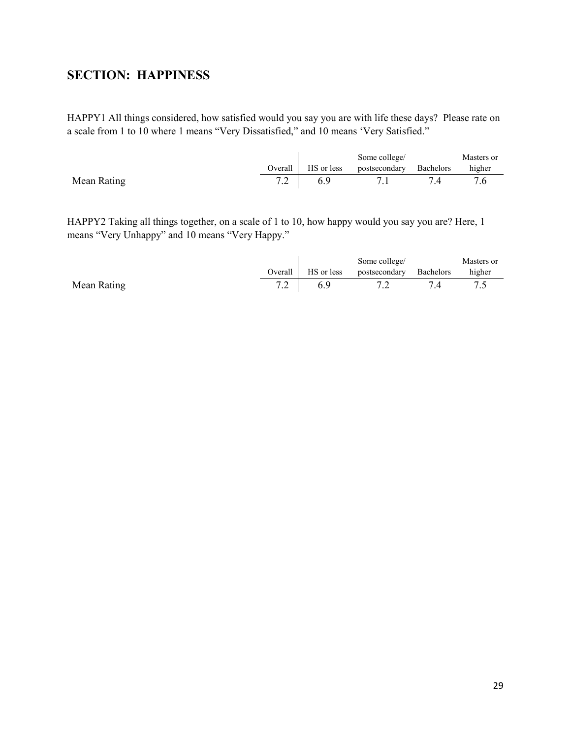## <span id="page-28-0"></span>**SECTION: HAPPINESS**

HAPPY1 All things considered, how satisfied would you say you are with life these days? Please rate on a scale from 1 to 10 where 1 means "Very Dissatisfied," and 10 means 'Very Satisfied."

|             |         |            | Some college/ |           | Masters or |
|-------------|---------|------------|---------------|-----------|------------|
|             | Overall | HS or less | postsecondary | Bachelors | higher     |
| Mean Rating |         |            |               |           |            |

HAPPY2 Taking all things together, on a scale of 1 to 10, how happy would you say you are? Here, 1 means "Very Unhappy" and 10 means "Very Happy."

|             |         |            | Some college/           | Masters or |
|-------------|---------|------------|-------------------------|------------|
|             | Overall | HS or less | postsecondary Bachelors | higher     |
| Mean Rating |         |            |                         |            |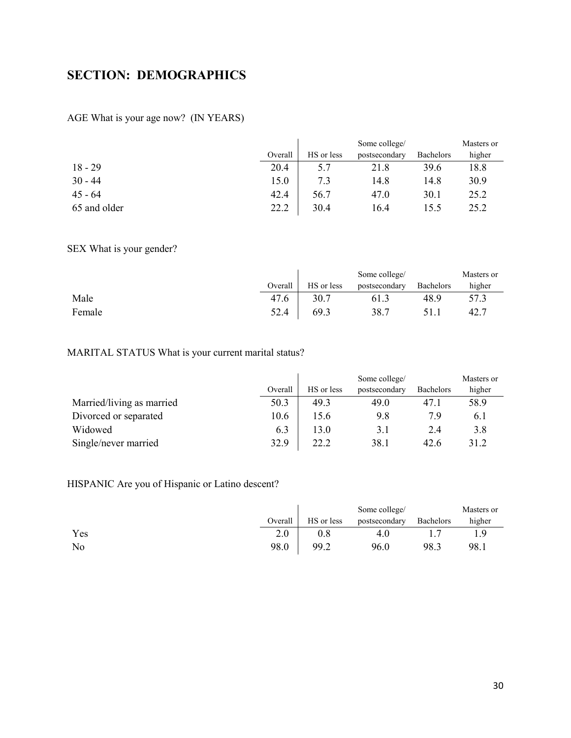## <span id="page-29-0"></span>**SECTION: DEMOGRAPHICS**

#### AGE What is your age now? (IN YEARS)

|              |         |            | Some college/ |                  | Masters or |
|--------------|---------|------------|---------------|------------------|------------|
|              | Overall | HS or less | postsecondary | <b>Bachelors</b> | higher     |
| $18 - 29$    | 20.4    | 5.7        | 21.8          | 39.6             | 18.8       |
| $30 - 44$    | 15.0    | 7.3        | 14.8          | 14.8             | 30.9       |
| $45 - 64$    | 42.4    | 56.7       | 47.0          | 30.1             | 25.2       |
| 65 and older | 22.2    | 30.4       | 16.4          | 15.5             | 25.2       |

### SEX What is your gender?

|        |         |            | Some college/ |           | Masters or |
|--------|---------|------------|---------------|-----------|------------|
|        | Overall | HS or less | postsecondary | Bachelors | higher     |
| Male   | 47.6    | 30.7       | 61.3          | 48.9      | 57.3       |
| Female | 52.4    | 69.3       | 38.7          | 51.1      | 42.′       |

## MARITAL STATUS What is your current marital status?

|                           |         | Some college/ |               |                  | Masters or |
|---------------------------|---------|---------------|---------------|------------------|------------|
|                           | Overall | HS or less    | postsecondary | <b>Bachelors</b> | higher     |
| Married/living as married | 50.3    | 49.3          | 49.0          | 47.1             | 58.9       |
| Divorced or separated     | 10.6    | 15.6          | 9.8           | 7.9              | 6.1        |
| Widowed                   | 6.3     | 13.0          | 3.1           | 2.4              | 3.8        |
| Single/never married      | 32.9    | 22.2          | 38.1          | 42.6             | 31.2       |

### HISPANIC Are you of Hispanic or Latino descent?

|     |         |            | Some college/ |                  | Masters or |
|-----|---------|------------|---------------|------------------|------------|
|     | Overall | HS or less | postsecondary | <b>Bachelors</b> | higher     |
| Yes | 2.0     | $\rm 0.8$  | 4.U           |                  | Q          |
| No  | 98.0    | 99.2       | 96.0          | 98.3             | 98.1       |